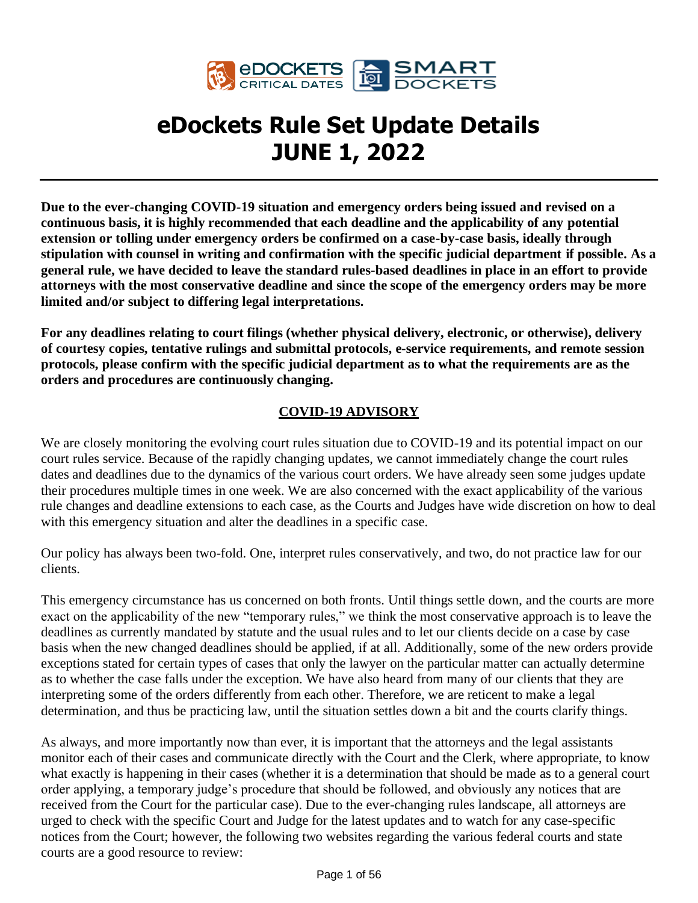

# **eDockets Rule Set Update Details JUNE 1, 2022**

**Due to the ever-changing COVID-19 situation and emergency orders being issued and revised on a continuous basis, it is highly recommended that each deadline and the applicability of any potential extension or tolling under emergency orders be confirmed on a case-by-case basis, ideally through stipulation with counsel in writing and confirmation with the specific judicial department if possible. As a general rule, we have decided to leave the standard rules-based deadlines in place in an effort to provide attorneys with the most conservative deadline and since the scope of the emergency orders may be more limited and/or subject to differing legal interpretations.**

**For any deadlines relating to court filings (whether physical delivery, electronic, or otherwise), delivery of courtesy copies, tentative rulings and submittal protocols, e-service requirements, and remote session protocols, please confirm with the specific judicial department as to what the requirements are as the orders and procedures are continuously changing.**

#### **COVID-19 ADVISORY**

We are closely monitoring the evolving court rules situation due to COVID-19 and its potential impact on our court rules service. Because of the rapidly changing updates, we cannot immediately change the court rules dates and deadlines due to the dynamics of the various court orders. We have already seen some judges update their procedures multiple times in one week. We are also concerned with the exact applicability of the various rule changes and deadline extensions to each case, as the Courts and Judges have wide discretion on how to deal with this emergency situation and alter the deadlines in a specific case.

Our policy has always been two-fold. One, interpret rules conservatively, and two, do not practice law for our clients.

This emergency circumstance has us concerned on both fronts. Until things settle down, and the courts are more exact on the applicability of the new "temporary rules," we think the most conservative approach is to leave the deadlines as currently mandated by statute and the usual rules and to let our clients decide on a case by case basis when the new changed deadlines should be applied, if at all. Additionally, some of the new orders provide exceptions stated for certain types of cases that only the lawyer on the particular matter can actually determine as to whether the case falls under the exception. We have also heard from many of our clients that they are interpreting some of the orders differently from each other. Therefore, we are reticent to make a legal determination, and thus be practicing law, until the situation settles down a bit and the courts clarify things.

As always, and more importantly now than ever, it is important that the attorneys and the legal assistants monitor each of their cases and communicate directly with the Court and the Clerk, where appropriate, to know what exactly is happening in their cases (whether it is a determination that should be made as to a general court order applying, a temporary judge's procedure that should be followed, and obviously any notices that are received from the Court for the particular case). Due to the ever-changing rules landscape, all attorneys are urged to check with the specific Court and Judge for the latest updates and to watch for any case-specific notices from the Court; however, the following two websites regarding the various federal courts and state courts are a good resource to review: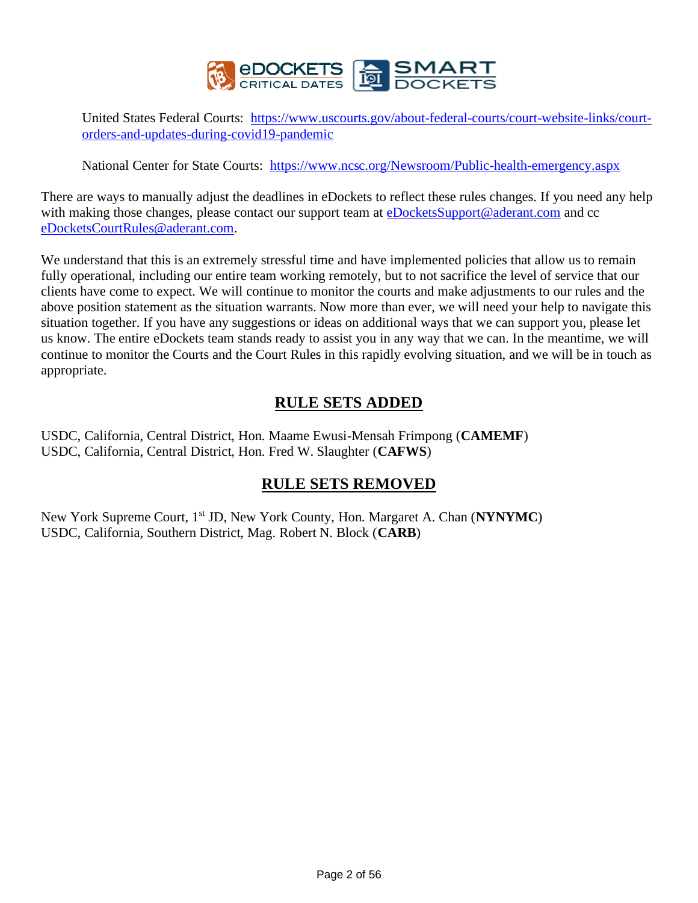

United States Federal Courts: [https://www.uscourts.gov/about-federal-courts/court-website-links/court](https://www.uscourts.gov/about-federal-courts/court-website-links/court-orders-and-updates-during-covid19-pandemic)[orders-and-updates-during-covid19-pandemic](https://www.uscourts.gov/about-federal-courts/court-website-links/court-orders-and-updates-during-covid19-pandemic)

National Center for State Courts: <https://www.ncsc.org/Newsroom/Public-health-emergency.aspx>

There are ways to manually adjust the deadlines in eDockets to reflect these rules changes. If you need any help with making those changes, please contact our support team at [eDocketsSupport@aderant.com](mailto:eDocketsSupport@aderant.com) and cc [eDocketsCourtRules@aderant.com.](mailto:eDocketsCourtRules@aderant.com)

We understand that this is an extremely stressful time and have implemented policies that allow us to remain fully operational, including our entire team working remotely, but to not sacrifice the level of service that our clients have come to expect. We will continue to monitor the courts and make adjustments to our rules and the above position statement as the situation warrants. Now more than ever, we will need your help to navigate this situation together. If you have any suggestions or ideas on additional ways that we can support you, please let us know. The entire eDockets team stands ready to assist you in any way that we can. In the meantime, we will continue to monitor the Courts and the Court Rules in this rapidly evolving situation, and we will be in touch as appropriate.

# **RULE SETS ADDED**

USDC, California, Central District, Hon. Maame Ewusi-Mensah Frimpong (**CAMEMF**) USDC, California, Central District, Hon. Fred W. Slaughter (**CAFWS**)

# **RULE SETS REMOVED**

New York Supreme Court, 1st JD, New York County, Hon. Margaret A. Chan (**NYNYMC**) USDC, California, Southern District, Mag. Robert N. Block (**CARB**)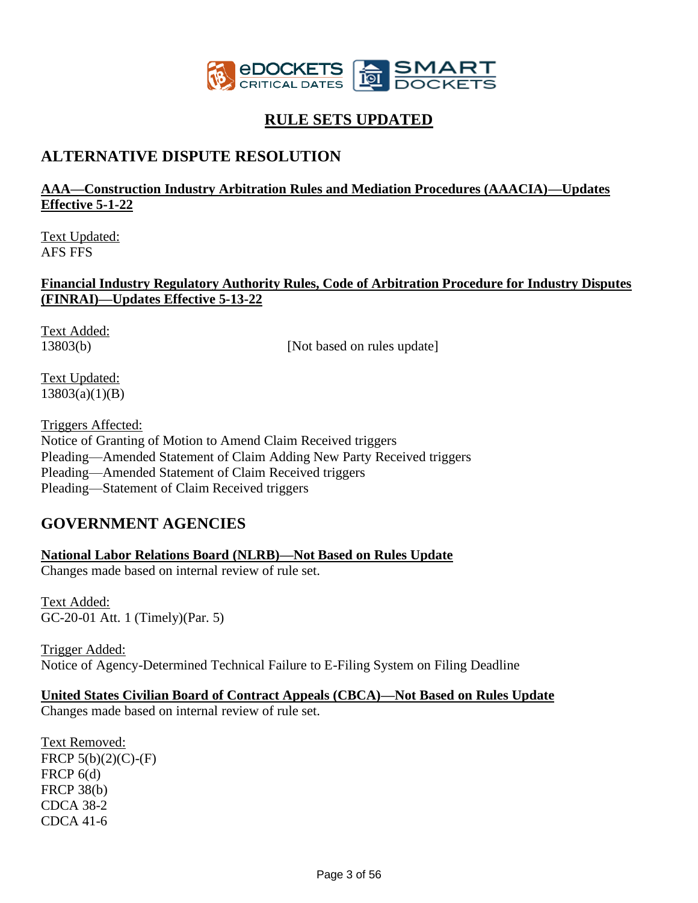

# **RULE SETS UPDATED**

# **ALTERNATIVE DISPUTE RESOLUTION**

#### **AAA—Construction Industry Arbitration Rules and Mediation Procedures (AAACIA)—Updates Effective 5-1-22**

Text Updated: AFS FFS

#### **Financial Industry Regulatory Authority Rules, Code of Arbitration Procedure for Industry Disputes (FINRAI)—Updates Effective 5-13-22**

Text Added:

13803(b) [Not based on rules update]

Text Updated: 13803(a)(1)(B)

Triggers Affected: Notice of Granting of Motion to Amend Claim Received triggers Pleading—Amended Statement of Claim Adding New Party Received triggers Pleading—Amended Statement of Claim Received triggers Pleading—Statement of Claim Received triggers

# **GOVERNMENT AGENCIES**

#### **National Labor Relations Board (NLRB)—Not Based on Rules Update**

Changes made based on internal review of rule set.

Text Added: GC-20-01 Att. 1 (Timely)(Par. 5)

Trigger Added: Notice of Agency-Determined Technical Failure to E-Filing System on Filing Deadline

#### **United States Civilian Board of Contract Appeals (CBCA)—Not Based on Rules Update**

Changes made based on internal review of rule set.

Text Removed: FRCP  $5(b)(2)(C)$ -(F) FRCP 6(d) FRCP 38(b) CDCA 38-2 CDCA 41-6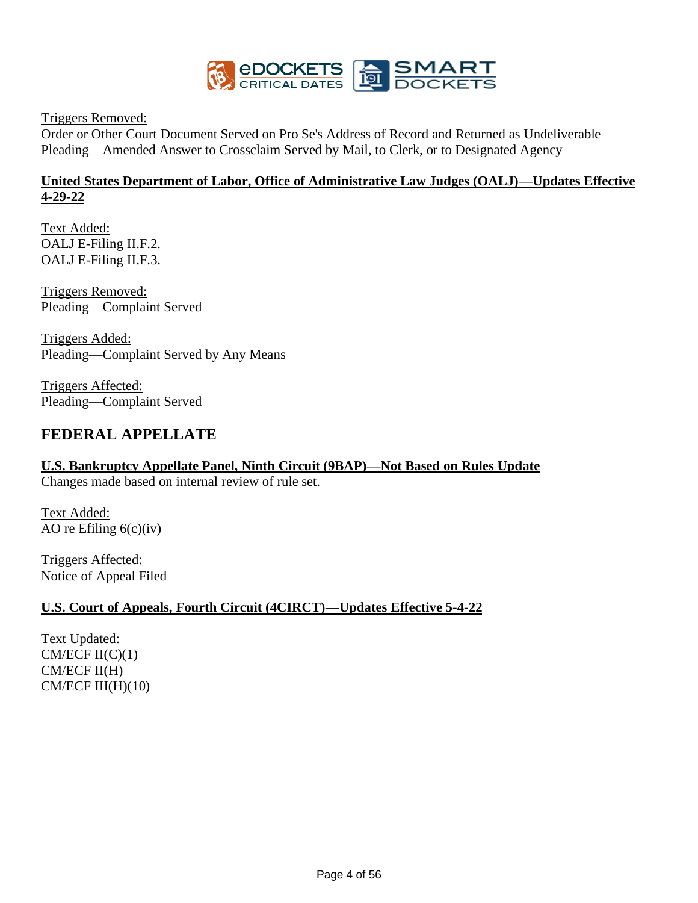

Triggers Removed:

Order or Other Court Document Served on Pro Se's Address of Record and Returned as Undeliverable Pleading—Amended Answer to Crossclaim Served by Mail, to Clerk, or to Designated Agency

#### **United States Department of Labor, Office of Administrative Law Judges (OALJ)—Updates Effective 4-29-22**

Text Added: OALJ E-Filing II.F.2. OALJ E-Filing II.F.3.

Triggers Removed: Pleading—Complaint Served

Triggers Added: Pleading—Complaint Served by Any Means

Triggers Affected: Pleading—Complaint Served

# **FEDERAL APPELLATE**

# **U.S. Bankruptcy Appellate Panel, Ninth Circuit (9BAP)—Not Based on Rules Update**

Changes made based on internal review of rule set.

Text Added: AO re Efiling  $6(c)(iv)$ 

Triggers Affected: Notice of Appeal Filed

#### **U.S. Court of Appeals, Fourth Circuit (4CIRCT)—Updates Effective 5-4-22**

Text Updated:  $CM/ECF II(C)(1)$ CM/ECF II(H)  $CM/ECF III(H)(10)$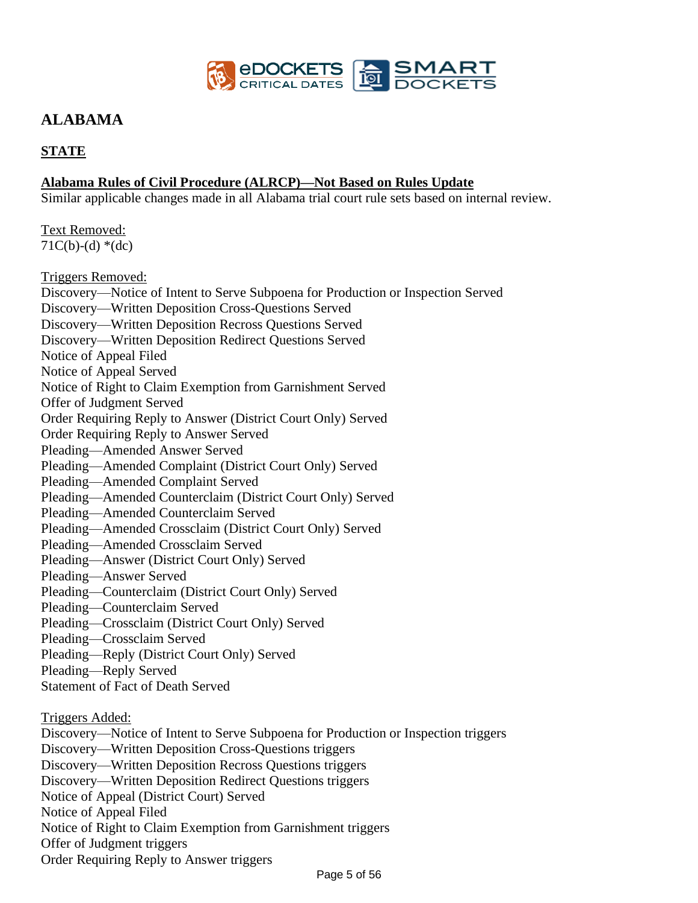

# **ALABAMA**

### **STATE**

#### **Alabama Rules of Civil Procedure (ALRCP)—Not Based on Rules Update**

Similar applicable changes made in all Alabama trial court rule sets based on internal review.

Text Removed:  $71C(b)-(d)*(dc)$ 

Triggers Removed: Discovery—Notice of Intent to Serve Subpoena for Production or Inspection Served Discovery—Written Deposition Cross-Questions Served Discovery—Written Deposition Recross Questions Served Discovery—Written Deposition Redirect Questions Served Notice of Appeal Filed Notice of Appeal Served Notice of Right to Claim Exemption from Garnishment Served Offer of Judgment Served Order Requiring Reply to Answer (District Court Only) Served Order Requiring Reply to Answer Served Pleading—Amended Answer Served Pleading—Amended Complaint (District Court Only) Served Pleading—Amended Complaint Served Pleading—Amended Counterclaim (District Court Only) Served Pleading—Amended Counterclaim Served Pleading—Amended Crossclaim (District Court Only) Served Pleading—Amended Crossclaim Served Pleading—Answer (District Court Only) Served Pleading—Answer Served Pleading—Counterclaim (District Court Only) Served Pleading—Counterclaim Served Pleading—Crossclaim (District Court Only) Served Pleading—Crossclaim Served Pleading—Reply (District Court Only) Served Pleading—Reply Served Statement of Fact of Death Served Triggers Added: Discovery—Notice of Intent to Serve Subpoena for Production or Inspection triggers Discovery—Written Deposition Cross-Questions triggers Discovery—Written Deposition Recross Questions triggers

Discovery—Written Deposition Redirect Questions triggers

Notice of Appeal (District Court) Served

Notice of Appeal Filed

Notice of Right to Claim Exemption from Garnishment triggers

Offer of Judgment triggers

Order Requiring Reply to Answer triggers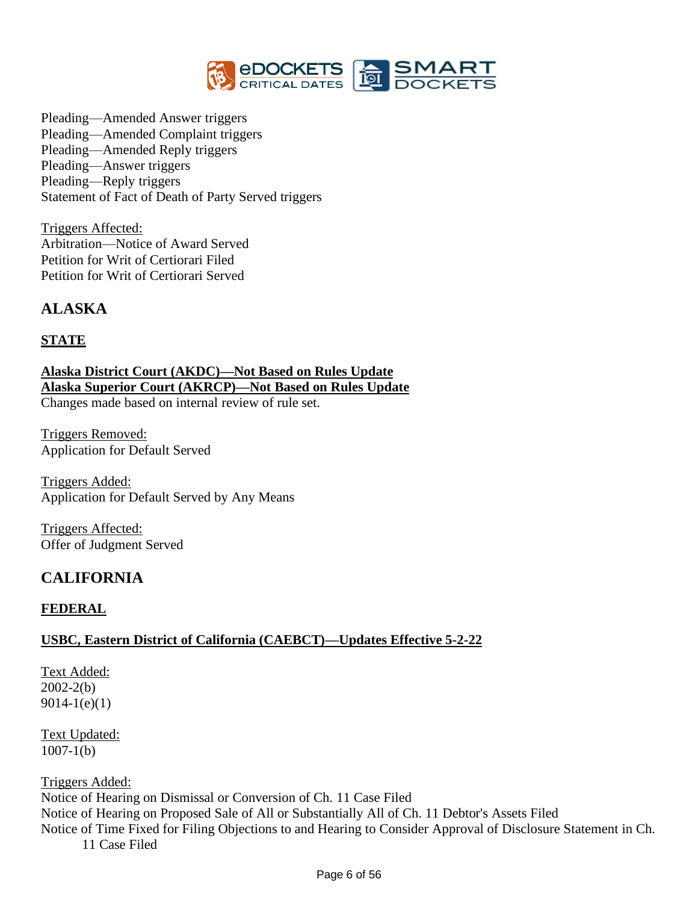

Pleading—Amended Answer triggers Pleading—Amended Complaint triggers Pleading—Amended Reply triggers Pleading—Answer triggers Pleading—Reply triggers Statement of Fact of Death of Party Served triggers

Triggers Affected: Arbitration—Notice of Award Served Petition for Writ of Certiorari Filed Petition for Writ of Certiorari Served

# **ALASKA**

#### **STATE**

**Alaska District Court (AKDC)—Not Based on Rules Update Alaska Superior Court (AKRCP)—Not Based on Rules Update** Changes made based on internal review of rule set.

Triggers Removed: Application for Default Served

Triggers Added: Application for Default Served by Any Means

Triggers Affected: Offer of Judgment Served

# **CALIFORNIA**

#### **FEDERAL**

#### **USBC, Eastern District of California (CAEBCT)—Updates Effective 5-2-22**

Text Added: 2002-2(b) 9014-1(e)(1)

Text Updated:  $1007 - 1(b)$ 

Triggers Added:

Notice of Hearing on Dismissal or Conversion of Ch. 11 Case Filed Notice of Hearing on Proposed Sale of All or Substantially All of Ch. 11 Debtor's Assets Filed Notice of Time Fixed for Filing Objections to and Hearing to Consider Approval of Disclosure Statement in Ch.

11 Case Filed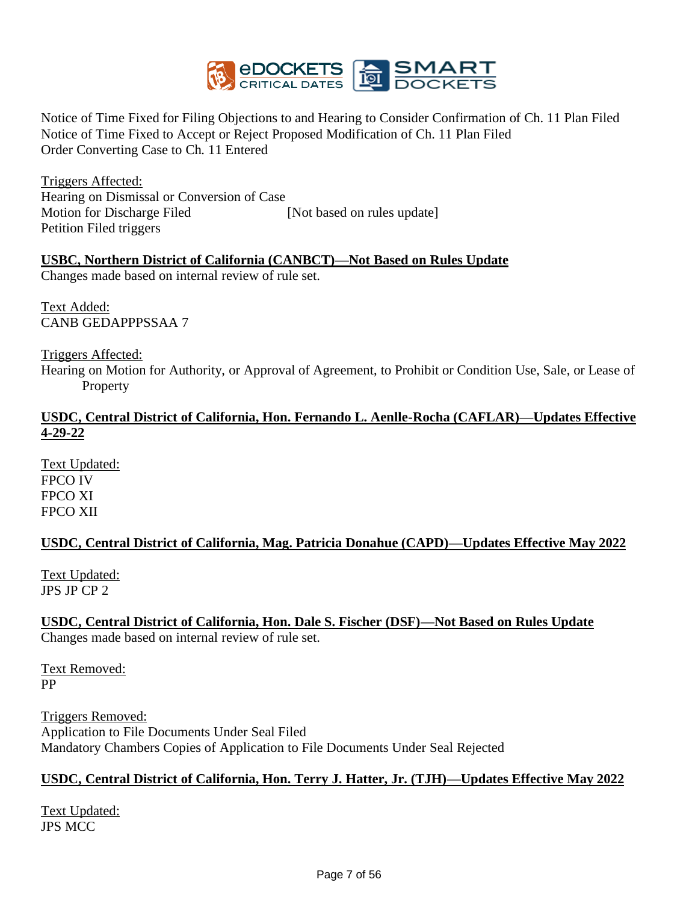

Notice of Time Fixed for Filing Objections to and Hearing to Consider Confirmation of Ch. 11 Plan Filed Notice of Time Fixed to Accept or Reject Proposed Modification of Ch. 11 Plan Filed Order Converting Case to Ch. 11 Entered

Triggers Affected: Hearing on Dismissal or Conversion of Case Motion for Discharge Filed [Not based on rules update] Petition Filed triggers

### **USBC, Northern District of California (CANBCT)—Not Based on Rules Update**

Changes made based on internal review of rule set.

Text Added: CANB GEDAPPPSSAA 7

Triggers Affected:

Hearing on Motion for Authority, or Approval of Agreement, to Prohibit or Condition Use, Sale, or Lease of **Property** 

### **USDC, Central District of California, Hon. Fernando L. Aenlle-Rocha (CAFLAR)—Updates Effective 4-29-22**

Text Updated: FPCO IV FPCO XI FPCO XII

#### **USDC, Central District of California, Mag. Patricia Donahue (CAPD)—Updates Effective May 2022**

Text Updated: JPS JP CP 2

# **USDC, Central District of California, Hon. Dale S. Fischer (DSF)—Not Based on Rules Update**

Changes made based on internal review of rule set.

Text Removed: PP

Triggers Removed: Application to File Documents Under Seal Filed Mandatory Chambers Copies of Application to File Documents Under Seal Rejected

#### **USDC, Central District of California, Hon. Terry J. Hatter, Jr. (TJH)—Updates Effective May 2022**

Text Updated: JPS MCC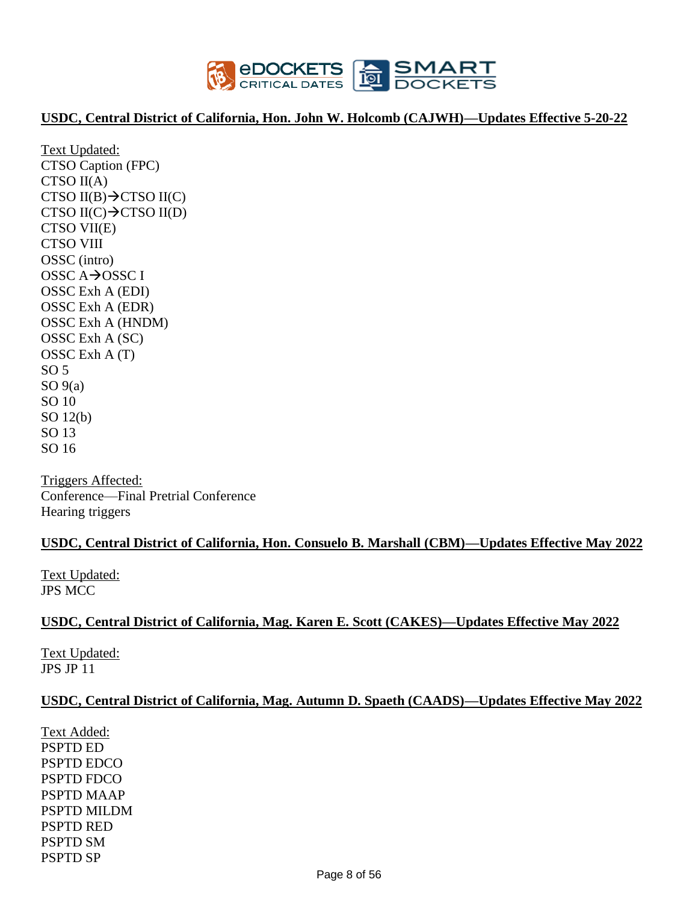

#### **USDC, Central District of California, Hon. John W. Holcomb (CAJWH)—Updates Effective 5-20-22**

Text Updated: CTSO Caption (FPC) CTSO II(A) CTSO II(B) $\rightarrow$ CTSO II(C) CTSO II(C) $\rightarrow$ CTSO II(D) CTSO VII(E) CTSO VIII OSSC (intro) OSSC A→OSSC I OSSC Exh A (EDI) OSSC Exh A (EDR) OSSC Exh A (HNDM) OSSC Exh A (SC) OSSC Exh A (T)  $SO<sub>5</sub>$  $SO(9(a))$ SO 10 SO 12(b) SO 13 SO 16

Triggers Affected: Conference—Final Pretrial Conference Hearing triggers

#### **USDC, Central District of California, Hon. Consuelo B. Marshall (CBM)—Updates Effective May 2022**

Text Updated: JPS MCC

#### **USDC, Central District of California, Mag. Karen E. Scott (CAKES)—Updates Effective May 2022**

Text Updated: JPS JP 11

#### **USDC, Central District of California, Mag. Autumn D. Spaeth (CAADS)—Updates Effective May 2022**

Text Added: PSPTD ED PSPTD EDCO PSPTD FDCO PSPTD MAAP PSPTD MILDM PSPTD RED PSPTD SM PSPTD SP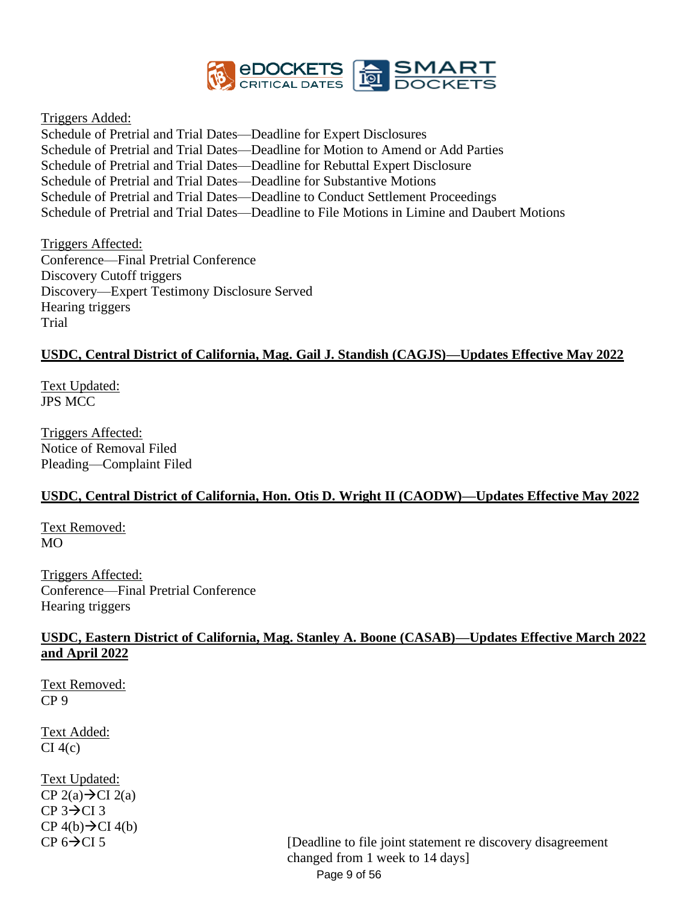

Triggers Added:

Schedule of Pretrial and Trial Dates—Deadline for Expert Disclosures Schedule of Pretrial and Trial Dates—Deadline for Motion to Amend or Add Parties Schedule of Pretrial and Trial Dates—Deadline for Rebuttal Expert Disclosure Schedule of Pretrial and Trial Dates—Deadline for Substantive Motions Schedule of Pretrial and Trial Dates—Deadline to Conduct Settlement Proceedings Schedule of Pretrial and Trial Dates—Deadline to File Motions in Limine and Daubert Motions

Triggers Affected: Conference—Final Pretrial Conference Discovery Cutoff triggers Discovery—Expert Testimony Disclosure Served Hearing triggers Trial

#### **USDC, Central District of California, Mag. Gail J. Standish (CAGJS)—Updates Effective May 2022**

Text Updated: JPS MCC

Triggers Affected: Notice of Removal Filed Pleading—Complaint Filed

# **USDC, Central District of California, Hon. Otis D. Wright II (CAODW)—Updates Effective May 2022**

Text Removed: MO

Triggers Affected: Conference—Final Pretrial Conference Hearing triggers

#### **USDC, Eastern District of California, Mag. Stanley A. Boone (CASAB)—Updates Effective March 2022 and April 2022**

Text Removed: CP 9

Text Added:  $CI$  4(c)

Text Updated: CP  $2(a) \rightarrow C12(a)$  $CP$  3 $\rightarrow$ CI 3  $CP$  4(b) $\rightarrow$ CI 4(b)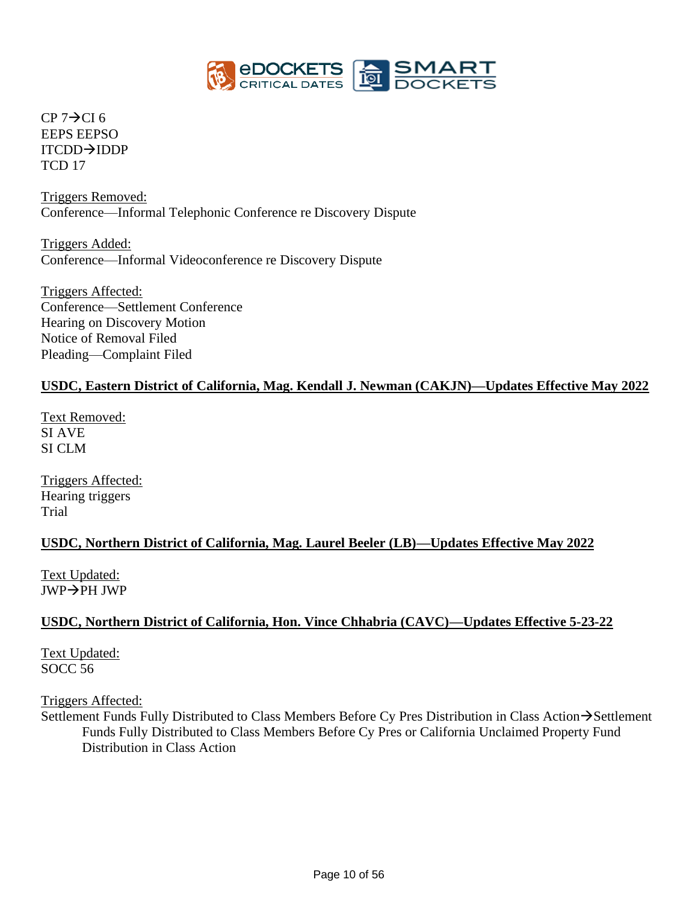

 $CP$  7 $\rightarrow$ CI 6 EEPS EEPSO ITCDD→IDDP TCD 17

Triggers Removed: Conference—Informal Telephonic Conference re Discovery Dispute

Triggers Added: Conference—Informal Videoconference re Discovery Dispute

Triggers Affected: Conference—Settlement Conference Hearing on Discovery Motion Notice of Removal Filed Pleading—Complaint Filed

### **USDC, Eastern District of California, Mag. Kendall J. Newman (CAKJN)—Updates Effective May 2022**

Text Removed: SI AVE SI CLM

Triggers Affected: Hearing triggers Trial

#### **USDC, Northern District of California, Mag. Laurel Beeler (LB)—Updates Effective May 2022**

Text Updated: JWP→PH JWP

#### **USDC, Northern District of California, Hon. Vince Chhabria (CAVC)—Updates Effective 5-23-22**

Text Updated: SOCC 56

Triggers Affected:

Settlement Funds Fully Distributed to Class Members Before Cy Pres Distribution in Class Action→Settlement Funds Fully Distributed to Class Members Before Cy Pres or California Unclaimed Property Fund Distribution in Class Action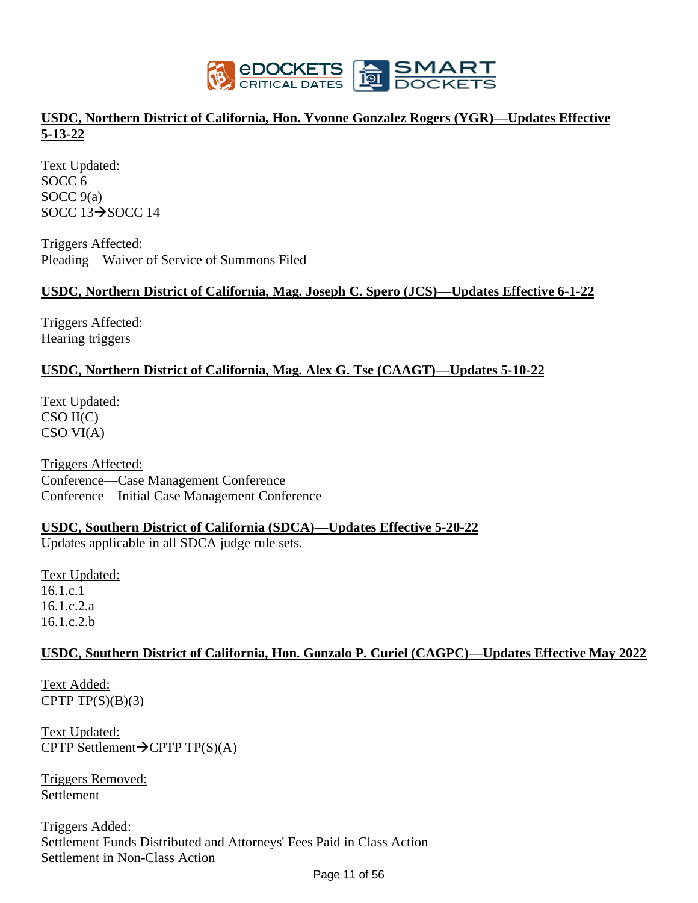

### **USDC, Northern District of California, Hon. Yvonne Gonzalez Rogers (YGR)—Updates Effective 5-13-22**

Text Updated: SOCC 6 SOCC 9(a) SOCC 13→SOCC 14

Triggers Affected: Pleading—Waiver of Service of Summons Filed

#### **USDC, Northern District of California, Mag. Joseph C. Spero (JCS)—Updates Effective 6-1-22**

Triggers Affected: Hearing triggers

#### **USDC, Northern District of California, Mag. Alex G. Tse (CAAGT)—Updates 5-10-22**

Text Updated: CSO II(C) CSO VI(A)

Triggers Affected: Conference—Case Management Conference Conference—Initial Case Management Conference

#### **USDC, Southern District of California (SDCA)—Updates Effective 5-20-22**

Updates applicable in all SDCA judge rule sets.

Text Updated: 16.1.c.1 16.1.c.2.a 16.1.c.2.b

#### **USDC, Southern District of California, Hon. Gonzalo P. Curiel (CAGPC)—Updates Effective May 2022**

Text Added: CPTP  $TP(S)(B)(3)$ 

Text Updated: CPTP Settlement $\rightarrow$ CPTP TP(S)(A)

Triggers Removed: **Settlement** 

Triggers Added: Settlement Funds Distributed and Attorneys' Fees Paid in Class Action Settlement in Non-Class Action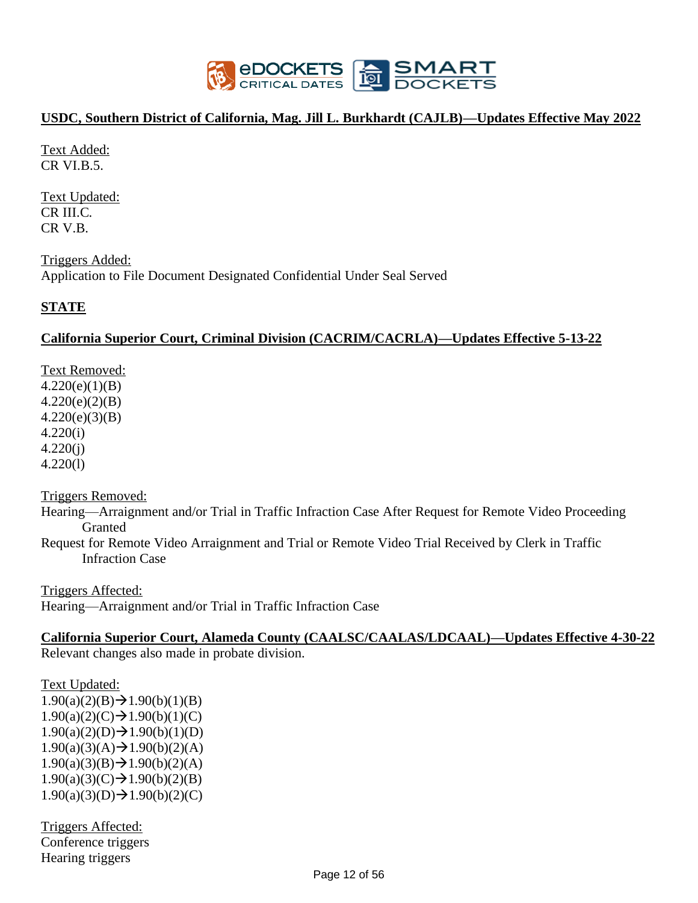

#### **USDC, Southern District of California, Mag. Jill L. Burkhardt (CAJLB)—Updates Effective May 2022**

Text Added: CR VI.B.5.

Text Updated: CR III.C. CR V.B.

Triggers Added: Application to File Document Designated Confidential Under Seal Served

#### **STATE**

#### **California Superior Court, Criminal Division (CACRIM/CACRLA)—Updates Effective 5-13-22**

Text Removed:  $4.220(e)(1)(B)$ 4.220(e)(2)(B) 4.220(e)(3)(B) 4.220(i) 4.220(j) 4.220(l)

Triggers Removed:

Hearing—Arraignment and/or Trial in Traffic Infraction Case After Request for Remote Video Proceeding Granted

Request for Remote Video Arraignment and Trial or Remote Video Trial Received by Clerk in Traffic Infraction Case

Triggers Affected: Hearing—Arraignment and/or Trial in Traffic Infraction Case

#### **California Superior Court, Alameda County (CAALSC/CAALAS/LDCAAL)—Updates Effective 4-30-22**

Relevant changes also made in probate division.

Text Updated:  $1.90(a)(2)(B) \rightarrow 1.90(b)(1)(B)$  $1.90(a)(2)(C) \rightarrow 1.90(b)(1)(C)$  $1.90(a)(2)(D) \rightarrow 1.90(b)(1)(D)$  $1.90(a)(3)(A) \rightarrow 1.90(b)(2)(A)$  $1.90(a)(3)(B) \rightarrow 1.90(b)(2)(A)$  $1.90(a)(3)(C) \rightarrow 1.90(b)(2)(B)$  $1.90(a)(3)(D) \rightarrow 1.90(b)(2)(C)$ 

Triggers Affected: Conference triggers Hearing triggers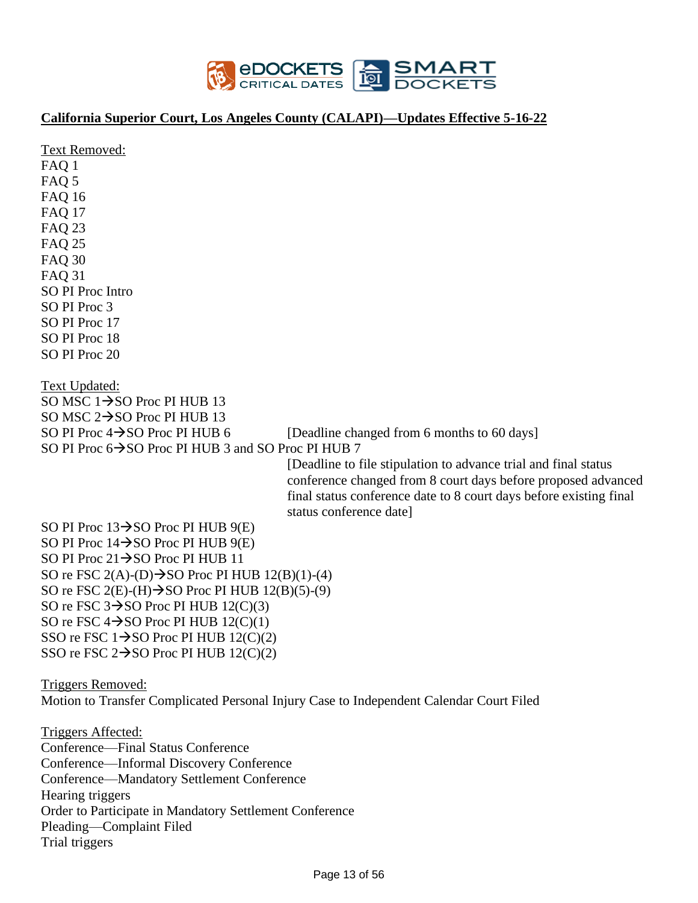

### **California Superior Court, Los Angeles County (CALAPI)—Updates Effective 5-16-22**

| Text Removed:<br>FAQ 1<br>FAQ 5<br><b>FAQ 16</b><br><b>FAQ 17</b><br><b>FAQ 23</b><br><b>FAQ 25</b><br><b>FAQ 30</b><br><b>FAQ 31</b><br>SO PI Proc Intro<br>SO PI Proc 3<br>SO PI Proc 17<br>SO PI Proc 18<br>SO PI Proc 20                                                                                                                                                                                                                                                                                                              |
|-------------------------------------------------------------------------------------------------------------------------------------------------------------------------------------------------------------------------------------------------------------------------------------------------------------------------------------------------------------------------------------------------------------------------------------------------------------------------------------------------------------------------------------------|
| <b>Text Updated:</b><br>SO MSC $1 \rightarrow$ SO Proc PI HUB 13<br>SO MSC $2 \rightarrow$ SO Proc PI HUB 13<br>SO PI Proc $4 \rightarrow$ SO Proc PI HUB 6<br>[Deadline changed from 6 months to 60 days]<br>SO PI Proc 6→SO Proc PI HUB 3 and SO Proc PI HUB 7<br>[Deadline to file stipulation to advance trial and final status]<br>conference changed from 8 court days before proposed advanced<br>final status conference date to 8 court days before existing final                                                               |
| status conference date]<br>SO PI Proc $13 \rightarrow SO$ Proc PI HUB $9(E)$<br>SO PI Proc $14 \rightarrow$ SO Proc PI HUB $9(E)$<br>SO PI Proc $21 \rightarrow$ SO Proc PI HUB 11<br>SO re FSC 2(A)-(D) $\rightarrow$ SO Proc PI HUB 12(B)(1)-(4)<br>SO re FSC 2(E)-(H) $\rightarrow$ SO Proc PI HUB 12(B)(5)-(9)<br>SO re FSC $3\rightarrow$ SO Proc PI HUB 12(C)(3)<br>SO re FSC $4 \rightarrow$ SO Proc PI HUB 12(C)(1)<br>SSO re FSC $1 \rightarrow$ SO Proc PI HUB $12(C)(2)$<br>SSO re FSC $2 \rightarrow$ SO Proc PI HUB 12(C)(2) |
| Triggers Removed:<br>Motion to Transfer Complicated Personal Injury Case to Independent Calendar Court Filed<br><b>Triggers Affected:</b><br>Conference—Final Status Conference<br>Conference—Informal Discovery Conference<br>Conference-Mandatory Settlement Conference<br>Hearing triggers<br>Order to Participate in Mandatory Settlement Conference<br>Pleading-Complaint Filed<br>Trial triggers                                                                                                                                    |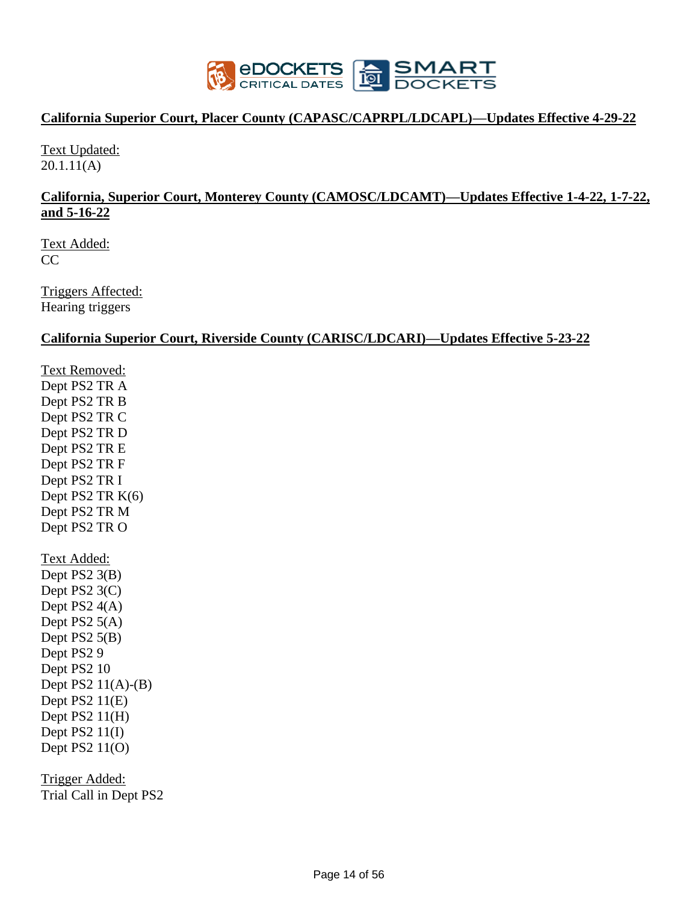

#### **California Superior Court, Placer County (CAPASC/CAPRPL/LDCAPL)—Updates Effective 4-29-22**

Text Updated: 20.1.11(A)

#### **California, Superior Court, Monterey County (CAMOSC/LDCAMT)—Updates Effective 1-4-22, 1-7-22, and 5-16-22**

Text Added:  $CC$ 

Triggers Affected: Hearing triggers

#### **California Superior Court, Riverside County (CARISC/LDCARI)—Updates Effective 5-23-22**

Text Removed: Dept PS2 TR A Dept PS2 TR B Dept PS2 TR C Dept PS2 TR D Dept PS2 TR E Dept PS2 TR F Dept PS2 TR I Dept PS2 TR K(6) Dept PS2 TR M Dept PS2 TR O Text Added: Dept PS2 3(B) Dept PS2 3(C) Dept PS2 4(A) Dept PS2 5(A) Dept PS2 5(B) Dept PS2 9 Dept PS2 10 Dept PS2 11(A)-(B) Dept PS2  $11(E)$ Dept PS2 11(H) Dept PS $2 11(I)$ Dept PS2 11(O)

Trigger Added: Trial Call in Dept PS2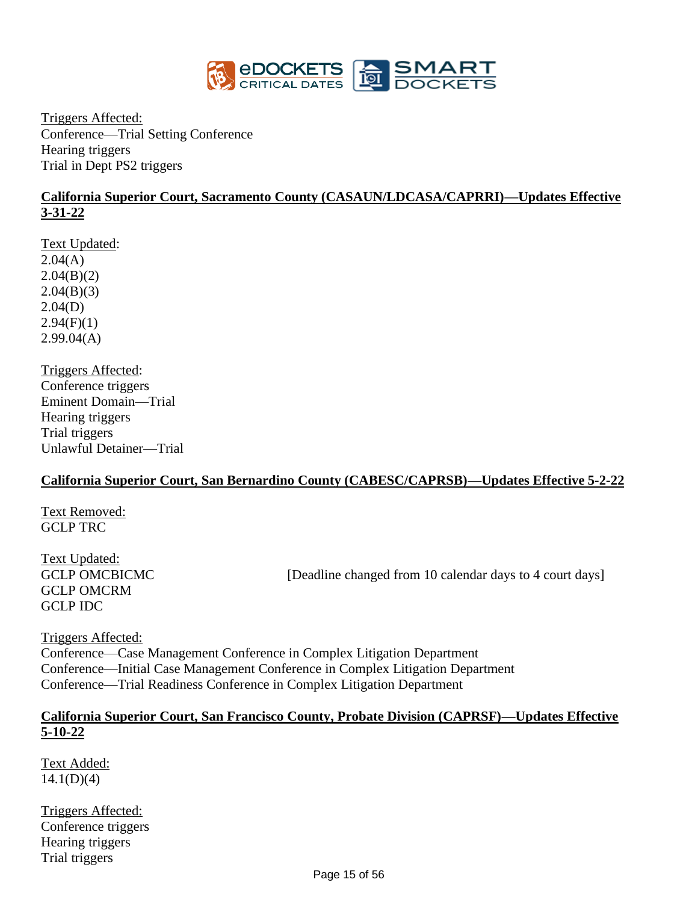

Triggers Affected: Conference—Trial Setting Conference Hearing triggers Trial in Dept PS2 triggers

#### **California Superior Court, Sacramento County (CASAUN/LDCASA/CAPRRI)—Updates Effective 3-31-22**

Text Updated:  $2.04(A)$  $2.04(B)(2)$  $2.04(B)(3)$ 2.04(D)  $2.94(F)(1)$ 2.99.04(A)

Triggers Affected: Conference triggers Eminent Domain—Trial Hearing triggers Trial triggers Unlawful Detainer—Trial

#### **California Superior Court, San Bernardino County (CABESC/CAPRSB)—Updates Effective 5-2-22**

Text Removed: GCLP TRC

Text Updated: GCLP OMCRM GCLP IDC

GCLP OMCBICMC [Deadline changed from 10 calendar days to 4 court days]

Triggers Affected: Conference—Case Management Conference in Complex Litigation Department Conference—Initial Case Management Conference in Complex Litigation Department Conference—Trial Readiness Conference in Complex Litigation Department

#### **California Superior Court, San Francisco County, Probate Division (CAPRSF)—Updates Effective 5-10-22**

Text Added:  $14.1(D)(4)$ 

Triggers Affected: Conference triggers Hearing triggers Trial triggers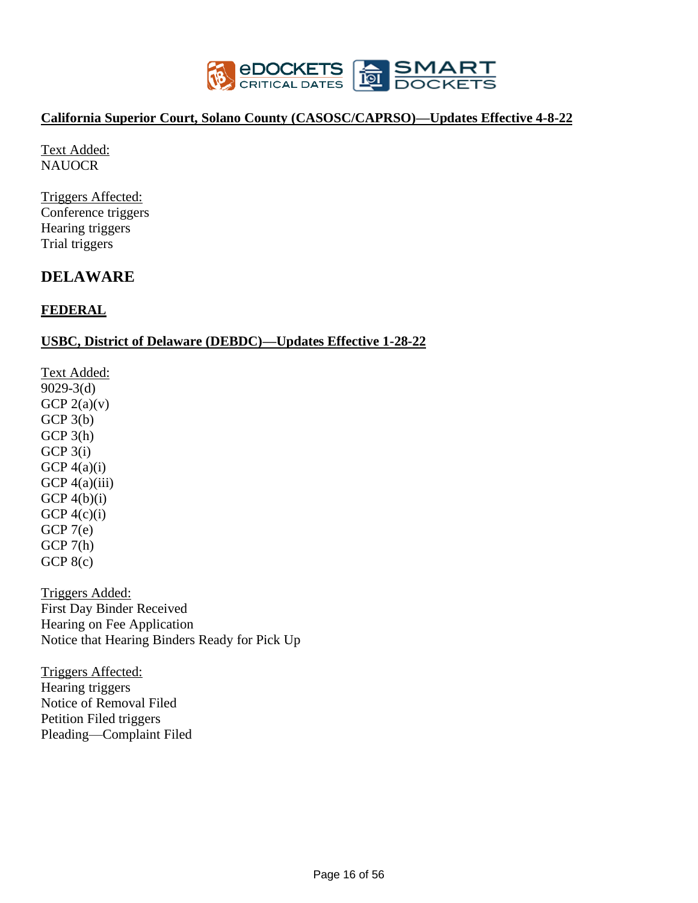

#### **California Superior Court, Solano County (CASOSC/CAPRSO)—Updates Effective 4-8-22**

Text Added: NAUOCR

Triggers Affected: Conference triggers Hearing triggers Trial triggers

# **DELAWARE**

### **FEDERAL**

#### **USBC, District of Delaware (DEBDC)—Updates Effective 1-28-22**

Text Added: 9029-3(d) GCP  $2(a)(v)$ GCP 3(b)  $GCP 3(h)$ GCP 3(i) GCP  $4(a)(i)$ GCP  $4(a)(iii)$ GCP  $4(b)(i)$ GCP  $4(c)(i)$  $GCP7(e)$ GCP 7(h) GCP  $8(c)$ 

Triggers Added: First Day Binder Received Hearing on Fee Application Notice that Hearing Binders Ready for Pick Up

Triggers Affected: Hearing triggers Notice of Removal Filed Petition Filed triggers Pleading—Complaint Filed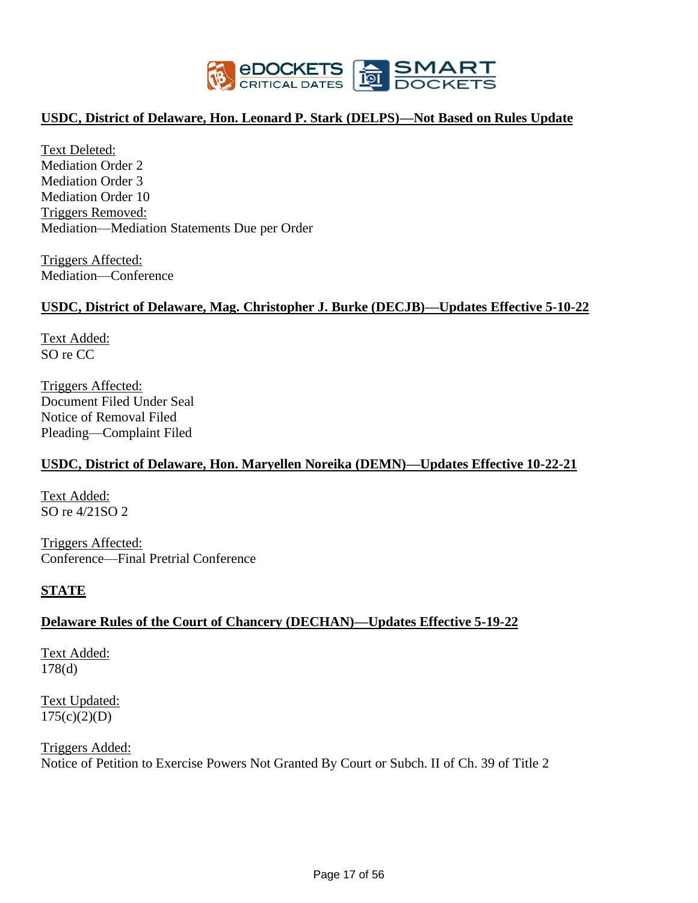

#### **USDC, District of Delaware, Hon. Leonard P. Stark (DELPS)—Not Based on Rules Update**

Text Deleted: Mediation Order 2 Mediation Order 3 Mediation Order 10 Triggers Removed: Mediation—Mediation Statements Due per Order

Triggers Affected: Mediation—Conference

#### **USDC, District of Delaware, Mag. Christopher J. Burke (DECJB)—Updates Effective 5-10-22**

Text Added: SO re CC

Triggers Affected: Document Filed Under Seal Notice of Removal Filed Pleading—Complaint Filed

#### **USDC, District of Delaware, Hon. Maryellen Noreika (DEMN)—Updates Effective 10-22-21**

Text Added: SO re 4/21SO 2

Triggers Affected: Conference—Final Pretrial Conference

#### **STATE**

#### **Delaware Rules of the Court of Chancery (DECHAN)—Updates Effective 5-19-22**

Text Added: 178(d)

Text Updated:  $175(c)(2)(D)$ 

Triggers Added: Notice of Petition to Exercise Powers Not Granted By Court or Subch. II of Ch. 39 of Title 2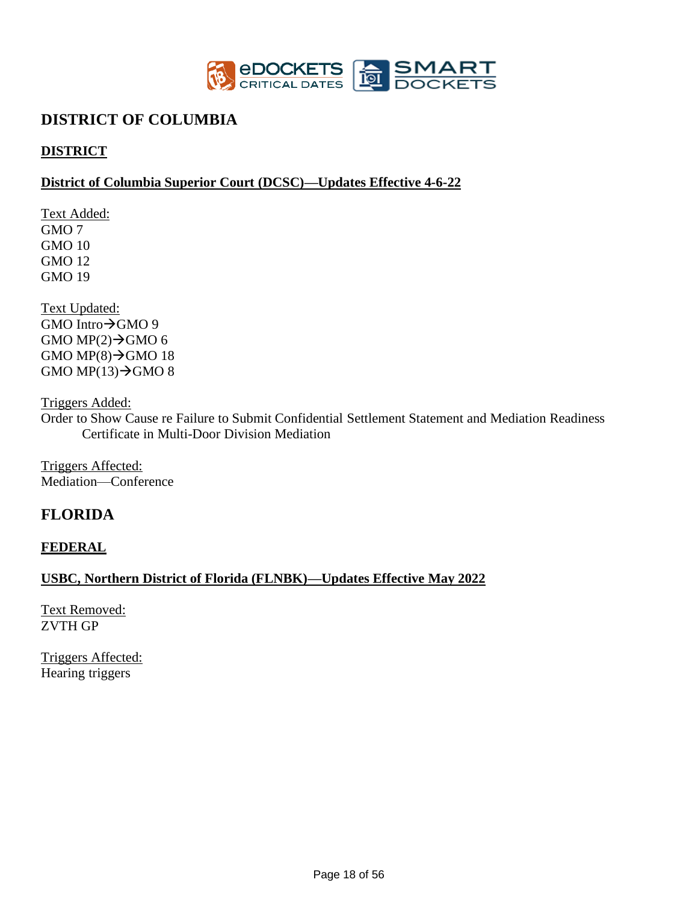

# **DISTRICT OF COLUMBIA**

# **DISTRICT**

#### **District of Columbia Superior Court (DCSC)—Updates Effective 4-6-22**

Text Added: GMO 7 GMO 10 GMO 12 GMO 19

Text Updated: GMO Intro→GMO 9 GMO MP $(2) \rightarrow$ GMO 6 GMO MP $(8) \rightarrow$ GMO 18 GMO MP $(13) \rightarrow$ GMO 8

Triggers Added:

Order to Show Cause re Failure to Submit Confidential Settlement Statement and Mediation Readiness Certificate in Multi-Door Division Mediation

Triggers Affected: Mediation—Conference

# **FLORIDA**

**FEDERAL**

#### **USBC, Northern District of Florida (FLNBK)—Updates Effective May 2022**

Text Removed: ZVTH GP

Triggers Affected: Hearing triggers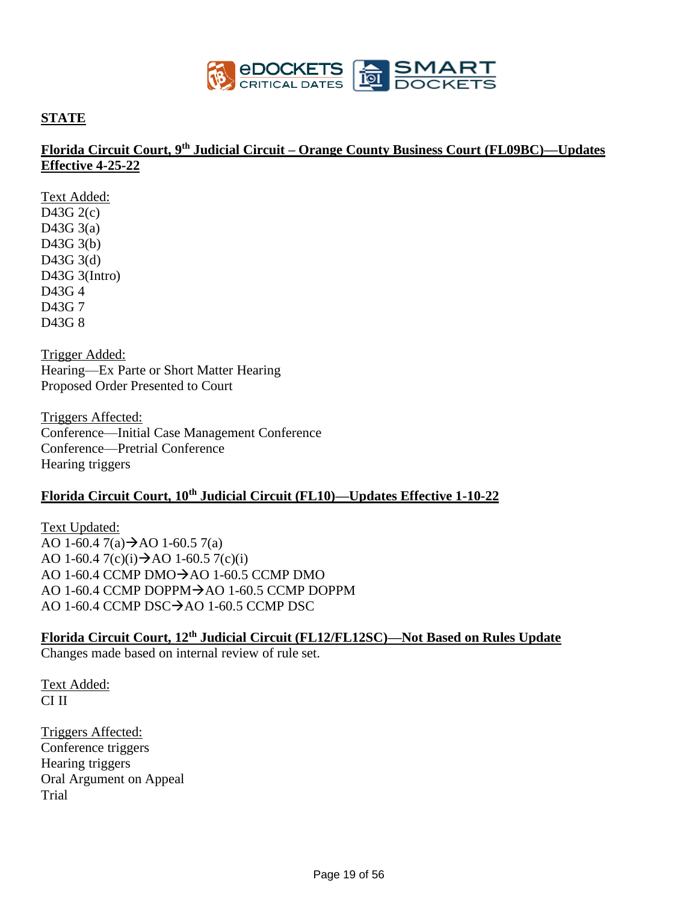

#### **STATE**

#### **Florida Circuit Court, 9th Judicial Circuit – Orange County Business Court (FL09BC)—Updates Effective 4-25-22**

Text Added: D43G 2(c) D43G 3(a) D43G 3(b) D43G 3(d) D43G 3(Intro) D43G 4 D43G 7 D43G 8

Trigger Added: Hearing—Ex Parte or Short Matter Hearing Proposed Order Presented to Court

Triggers Affected: Conference—Initial Case Management Conference Conference—Pretrial Conference Hearing triggers

# **Florida Circuit Court, 10th Judicial Circuit (FL10)—Updates Effective 1-10-22**

Text Updated: AO 1-60.4  $7(a) \rightarrow$ AO 1-60.5  $7(a)$ AO 1-60.4  $7(c)(i)$   $\rightarrow$  AO 1-60.5  $7(c)(i)$ AO 1-60.4 CCMP DMO $\rightarrow$ AO 1-60.5 CCMP DMO AO 1-60.4 CCMP DOPPM→AO 1-60.5 CCMP DOPPM AO 1-60.4 CCMP DSC→AO 1-60.5 CCMP DSC

### **Florida Circuit Court, 12th Judicial Circuit (FL12/FL12SC)—Not Based on Rules Update**

Changes made based on internal review of rule set.

Text Added: CI II

Triggers Affected: Conference triggers Hearing triggers Oral Argument on Appeal Trial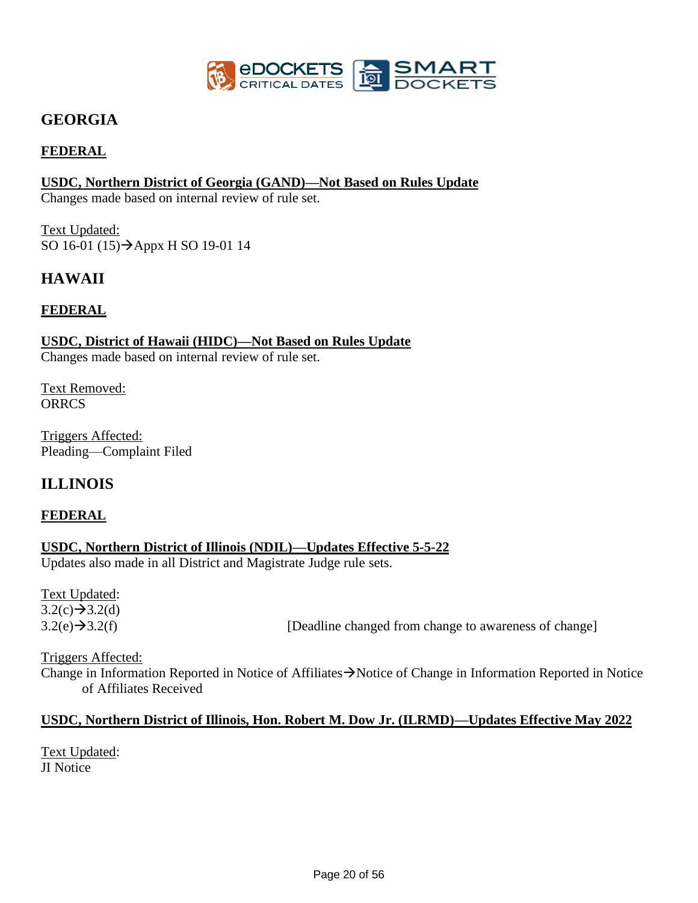

# **GEORGIA**

### **FEDERAL**

#### **USDC, Northern District of Georgia (GAND)—Not Based on Rules Update**

Changes made based on internal review of rule set.

Text Updated: SO 16-01 (15)→Appx H SO 19-01 14

# **HAWAII**

#### **FEDERAL**

#### **USDC, District of Hawaii (HIDC)—Not Based on Rules Update**

Changes made based on internal review of rule set.

Text Removed: **ORRCS** 

Triggers Affected: Pleading—Complaint Filed

# **ILLINOIS**

#### **FEDERAL**

### **USDC, Northern District of Illinois (NDIL)—Updates Effective 5-5-22**

Updates also made in all District and Magistrate Judge rule sets.

Text Updated:  $3.2(c) \rightarrow 3.2(d)$ 

 $3.2(e) \rightarrow 3.2(f)$  [Deadline changed from change to awareness of change]

Triggers Affected: Change in Information Reported in Notice of Affiliates→Notice of Change in Information Reported in Notice of Affiliates Received

#### **USDC, Northern District of Illinois, Hon. Robert M. Dow Jr. (ILRMD)—Updates Effective May 2022**

Text Updated: JI Notice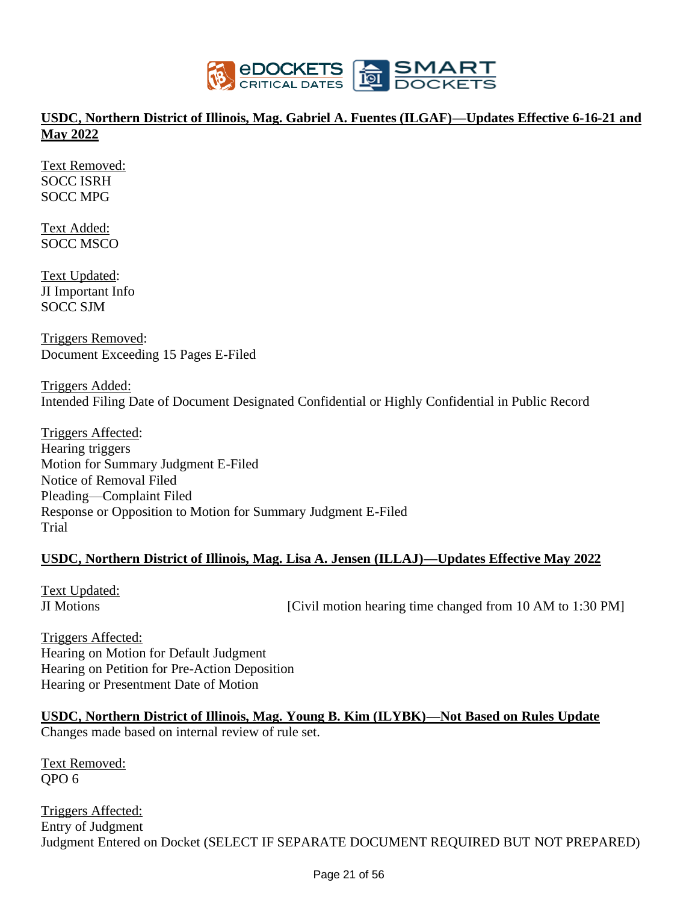

### **USDC, Northern District of Illinois, Mag. Gabriel A. Fuentes (ILGAF)—Updates Effective 6-16-21 and May 2022**

Text Removed: SOCC ISRH SOCC MPG

Text Added: SOCC MSCO

Text Updated: JI Important Info SOCC SJM

Triggers Removed: Document Exceeding 15 Pages E-Filed

Triggers Added: Intended Filing Date of Document Designated Confidential or Highly Confidential in Public Record

Triggers Affected: Hearing triggers Motion for Summary Judgment E-Filed Notice of Removal Filed Pleading—Complaint Filed Response or Opposition to Motion for Summary Judgment E-Filed Trial

#### **USDC, Northern District of Illinois, Mag. Lisa A. Jensen (ILLAJ)—Updates Effective May 2022**

Text Updated: JI Motions [Civil motion hearing time changed from 10 AM to 1:30 PM]

Triggers Affected: Hearing on Motion for Default Judgment Hearing on Petition for Pre-Action Deposition Hearing or Presentment Date of Motion

**USDC, Northern District of Illinois, Mag. Young B. Kim (ILYBK)—Not Based on Rules Update** Changes made based on internal review of rule set.

Text Removed: QPO 6

Triggers Affected: Entry of Judgment Judgment Entered on Docket (SELECT IF SEPARATE DOCUMENT REQUIRED BUT NOT PREPARED)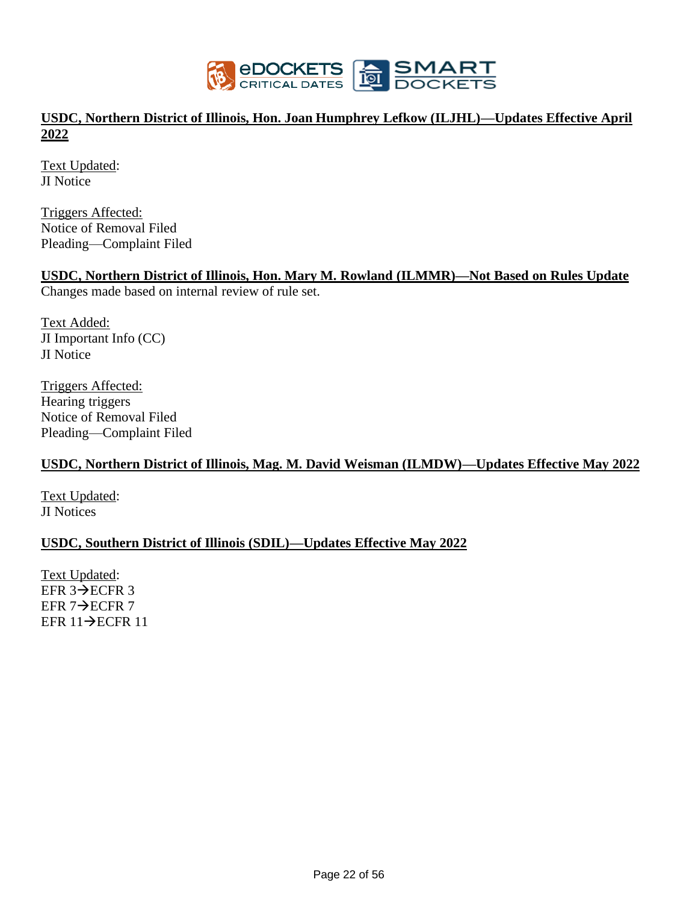

### **USDC, Northern District of Illinois, Hon. Joan Humphrey Lefkow (ILJHL)—Updates Effective April 2022**

Text Updated: JI Notice

Triggers Affected: Notice of Removal Filed Pleading—Complaint Filed

#### **USDC, Northern District of Illinois, Hon. Mary M. Rowland (ILMMR)—Not Based on Rules Update**

Changes made based on internal review of rule set.

Text Added: JI Important Info (CC) JI Notice

Triggers Affected: Hearing triggers Notice of Removal Filed Pleading—Complaint Filed

#### **USDC, Northern District of Illinois, Mag. M. David Weisman (ILMDW)—Updates Effective May 2022**

Text Updated: JI Notices

#### **USDC, Southern District of Illinois (SDIL)—Updates Effective May 2022**

Text Updated: EFR 3→ECFR 3 EFR 7→ECFR 7 EFR 11→ECFR 11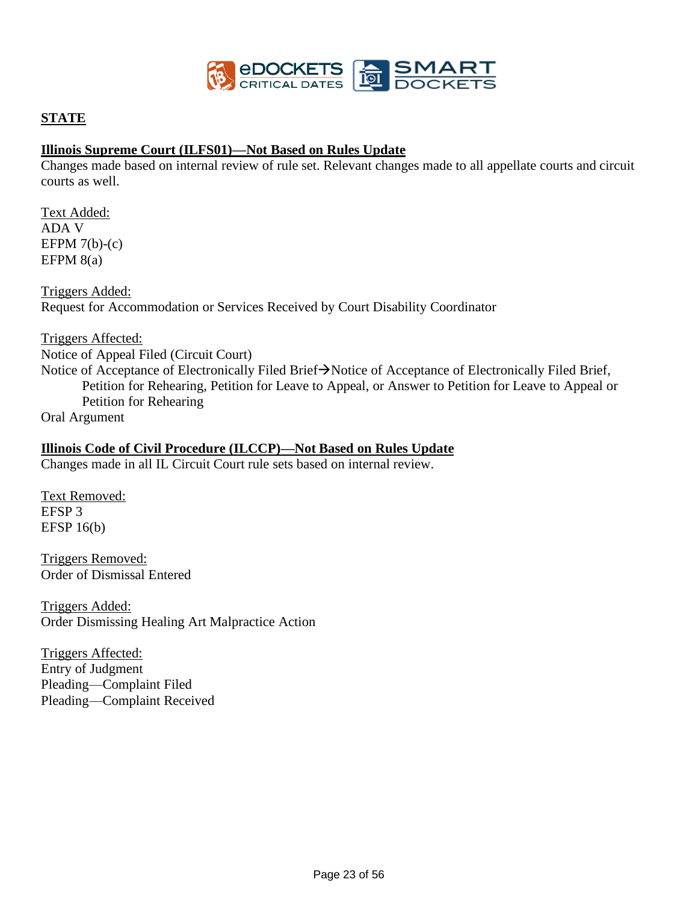

#### **STATE**

#### **Illinois Supreme Court (ILFS01)—Not Based on Rules Update**

Changes made based on internal review of rule set. Relevant changes made to all appellate courts and circuit courts as well.

Text Added: ADA V EFPM  $7(b)-(c)$ EFPM  $8(a)$ 

Triggers Added: Request for Accommodation or Services Received by Court Disability Coordinator

#### Triggers Affected:

Notice of Appeal Filed (Circuit Court) Notice of Acceptance of Electronically Filed Brief→Notice of Acceptance of Electronically Filed Brief, Petition for Rehearing, Petition for Leave to Appeal, or Answer to Petition for Leave to Appeal or Petition for Rehearing

Oral Argument

#### **Illinois Code of Civil Procedure (ILCCP)—Not Based on Rules Update**

Changes made in all IL Circuit Court rule sets based on internal review.

Text Removed: EFSP 3 EFSP 16(b)

Triggers Removed: Order of Dismissal Entered

Triggers Added: Order Dismissing Healing Art Malpractice Action

Triggers Affected: Entry of Judgment Pleading—Complaint Filed Pleading—Complaint Received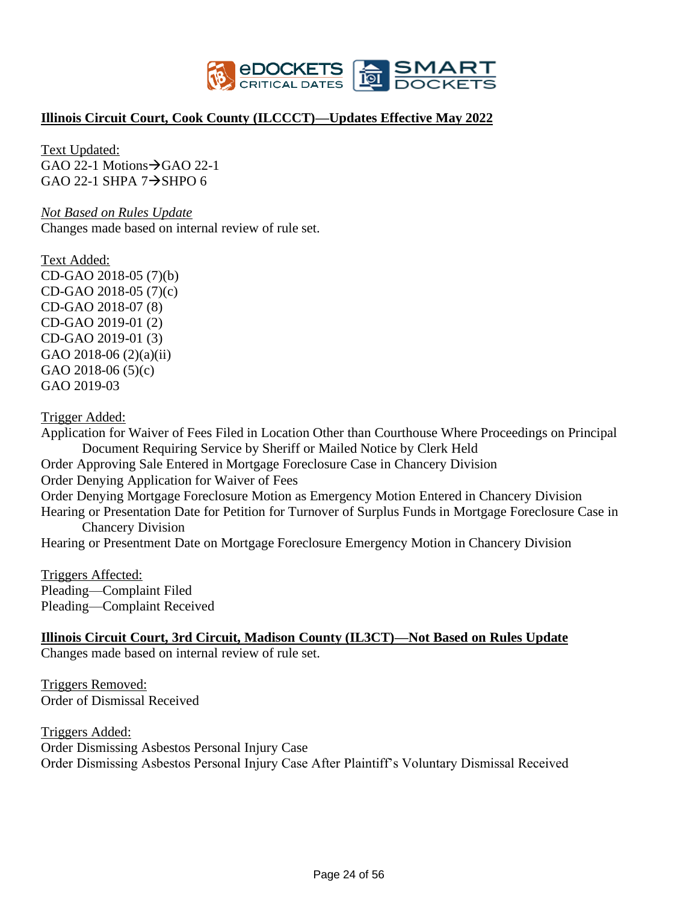

#### **Illinois Circuit Court, Cook County (ILCCCT)—Updates Effective May 2022**

Text Updated:  $GAO$  22-1 Motions $\rightarrow$ GAO 22-1 GAO 22-1 SHPA  $7\rightarrow$ SHPO 6

*Not Based on Rules Update*  Changes made based on internal review of rule set.

Text Added: CD-GAO 2018-05 (7)(b) CD-GAO 2018-05 (7)(c) CD-GAO 2018-07 (8) CD-GAO 2019-01 (2) CD-GAO 2019-01 (3) GAO 2018-06 (2)(a)(ii) GAO 2018-06 (5)(c) GAO 2019-03

Trigger Added:

Application for Waiver of Fees Filed in Location Other than Courthouse Where Proceedings on Principal Document Requiring Service by Sheriff or Mailed Notice by Clerk Held Order Approving Sale Entered in Mortgage Foreclosure Case in Chancery Division Order Denying Application for Waiver of Fees Order Denying Mortgage Foreclosure Motion as Emergency Motion Entered in Chancery Division Hearing or Presentation Date for Petition for Turnover of Surplus Funds in Mortgage Foreclosure Case in Chancery Division Hearing or Presentment Date on Mortgage Foreclosure Emergency Motion in Chancery Division

Triggers Affected: Pleading—Complaint Filed Pleading—Complaint Received

#### **Illinois Circuit Court, 3rd Circuit, Madison County (IL3CT)—Not Based on Rules Update**

Changes made based on internal review of rule set.

Triggers Removed: Order of Dismissal Received

Triggers Added: Order Dismissing Asbestos Personal Injury Case Order Dismissing Asbestos Personal Injury Case After Plaintiff's Voluntary Dismissal Received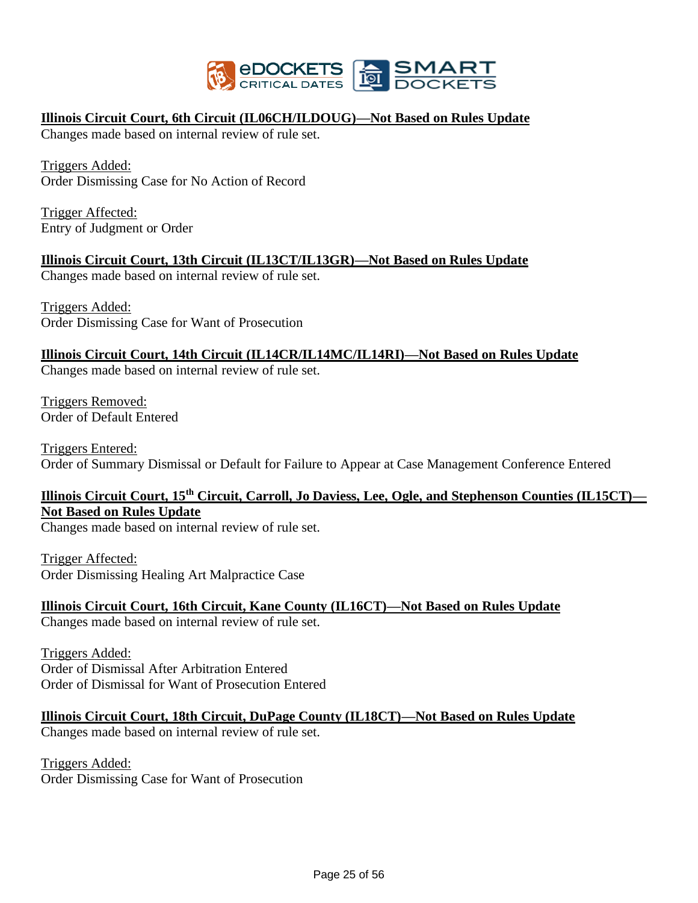

#### **Illinois Circuit Court, 6th Circuit (IL06CH/ILDOUG)—Not Based on Rules Update**

Changes made based on internal review of rule set.

Triggers Added: Order Dismissing Case for No Action of Record

Trigger Affected: Entry of Judgment or Order

#### **Illinois Circuit Court, 13th Circuit (IL13CT/IL13GR)—Not Based on Rules Update**

Changes made based on internal review of rule set.

Triggers Added: Order Dismissing Case for Want of Prosecution

#### **Illinois Circuit Court, 14th Circuit (IL14CR/IL14MC/IL14RI)—Not Based on Rules Update**

Changes made based on internal review of rule set.

Triggers Removed: Order of Default Entered

Triggers Entered: Order of Summary Dismissal or Default for Failure to Appear at Case Management Conference Entered

# **Illinois Circuit Court, 15th Circuit, Carroll, Jo Daviess, Lee, Ogle, and Stephenson Counties (IL15CT)— Not Based on Rules Update**

Changes made based on internal review of rule set.

Trigger Affected: Order Dismissing Healing Art Malpractice Case

# **Illinois Circuit Court, 16th Circuit, Kane County (IL16CT)—Not Based on Rules Update**

Changes made based on internal review of rule set.

Triggers Added: Order of Dismissal After Arbitration Entered Order of Dismissal for Want of Prosecution Entered

**Illinois Circuit Court, 18th Circuit, DuPage County (IL18CT)—Not Based on Rules Update**

Changes made based on internal review of rule set.

Triggers Added: Order Dismissing Case for Want of Prosecution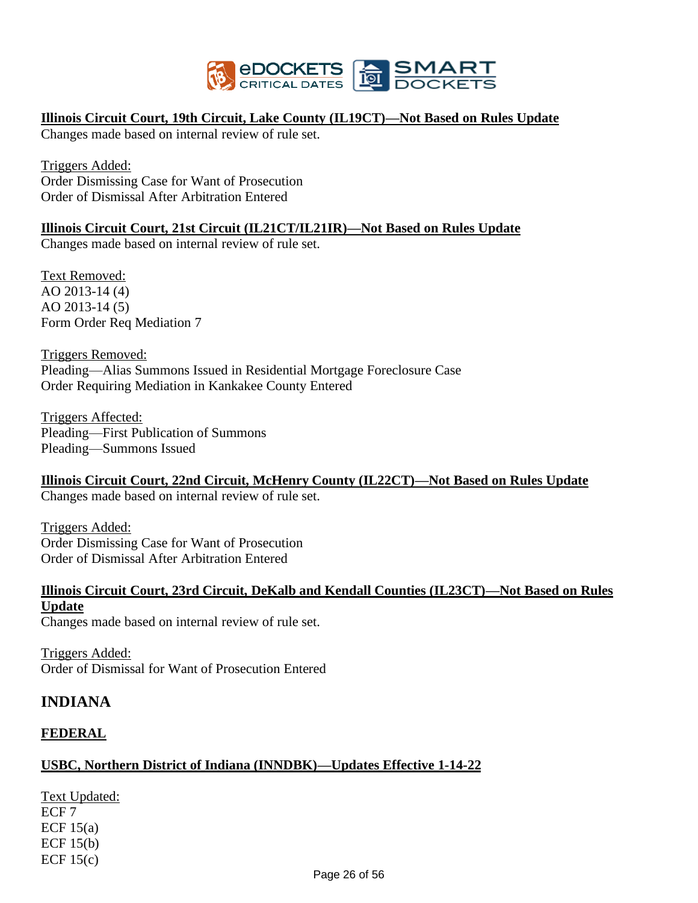

#### **Illinois Circuit Court, 19th Circuit, Lake County (IL19CT)—Not Based on Rules Update**

Changes made based on internal review of rule set.

Triggers Added: Order Dismissing Case for Want of Prosecution Order of Dismissal After Arbitration Entered

#### **Illinois Circuit Court, 21st Circuit (IL21CT/IL21IR)—Not Based on Rules Update**

Changes made based on internal review of rule set.

Text Removed: AO 2013-14 (4) AO 2013-14 (5) Form Order Req Mediation 7

Triggers Removed: Pleading—Alias Summons Issued in Residential Mortgage Foreclosure Case Order Requiring Mediation in Kankakee County Entered

Triggers Affected: Pleading—First Publication of Summons Pleading—Summons Issued

**Illinois Circuit Court, 22nd Circuit, McHenry County (IL22CT)—Not Based on Rules Update** Changes made based on internal review of rule set.

Triggers Added: Order Dismissing Case for Want of Prosecution Order of Dismissal After Arbitration Entered

#### **Illinois Circuit Court, 23rd Circuit, DeKalb and Kendall Counties (IL23CT)—Not Based on Rules Update**

Changes made based on internal review of rule set.

Triggers Added: Order of Dismissal for Want of Prosecution Entered

# **INDIANA**

#### **FEDERAL**

#### **USBC, Northern District of Indiana (INNDBK)—Updates Effective 1-14-22**

Text Updated: ECF 7 ECF  $15(a)$ ECF  $15(b)$ ECF  $15(c)$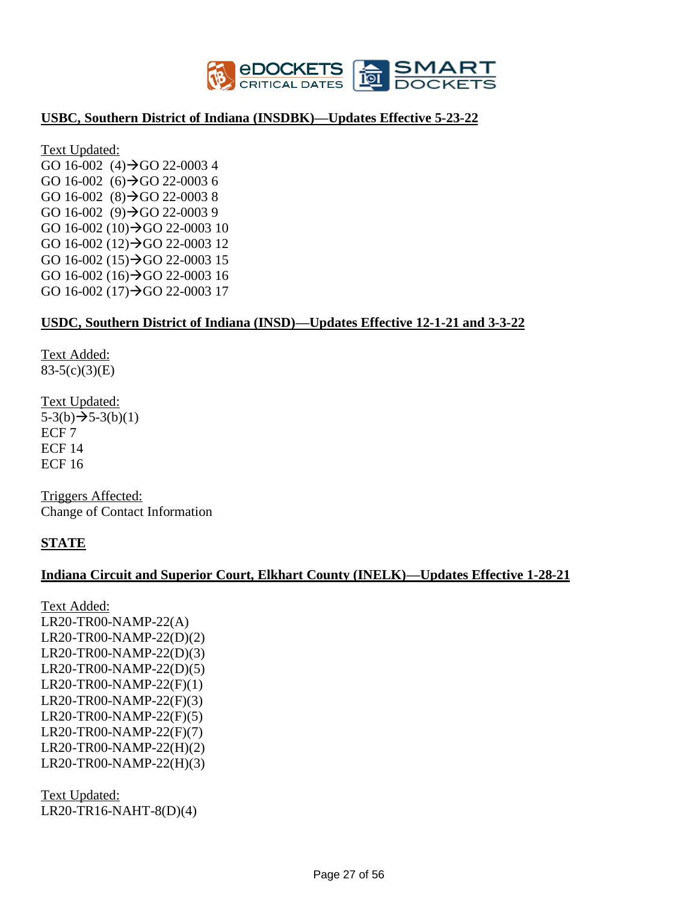

#### **USBC, Southern District of Indiana (INSDBK)—Updates Effective 5-23-22**

Text Updated: GO 16-002  $(4) \rightarrow$  GO 22-0003 4 GO 16-002 (6) $\rightarrow$ GO 22-0003 6 GO 16-002  $(8)$   $\rightarrow$  GO 22-0003 8 GO 16-002  $(9) \rightarrow$ GO 22-0003 9 GO 16-002 (10) $\rightarrow$ GO 22-0003 10 GO 16-002 (12)→GO 22-0003 12 GO 16-002 (15)→GO 22-0003 15 GO 16-002 (16)→GO 22-0003 16 GO 16-002 (17)→GO 22-0003 17

#### **USDC, Southern District of Indiana (INSD)—Updates Effective 12-1-21 and 3-3-22**

Text Added: 83-5(c)(3)(E)

Text Updated:  $5-3(b) \rightarrow 5-3(b)(1)$ ECF 7 ECF 14 ECF 16

Triggers Affected: Change of Contact Information

#### **STATE**

#### **Indiana Circuit and Superior Court, Elkhart County (INELK)—Updates Effective 1-28-21**

Text Added: LR20-TR00-NAMP-22(A) LR20-TR00-NAMP-22(D)(2) LR20-TR00-NAMP-22(D)(3) LR20-TR00-NAMP-22(D)(5) LR20-TR00-NAMP-22(F)(1) LR20-TR00-NAMP-22(F)(3) LR20-TR00-NAMP-22(F)(5) LR20-TR00-NAMP-22(F)(7) LR20-TR00-NAMP-22(H)(2) LR20-TR00-NAMP-22(H)(3)

Text Updated: LR20-TR16-NAHT-8(D)(4)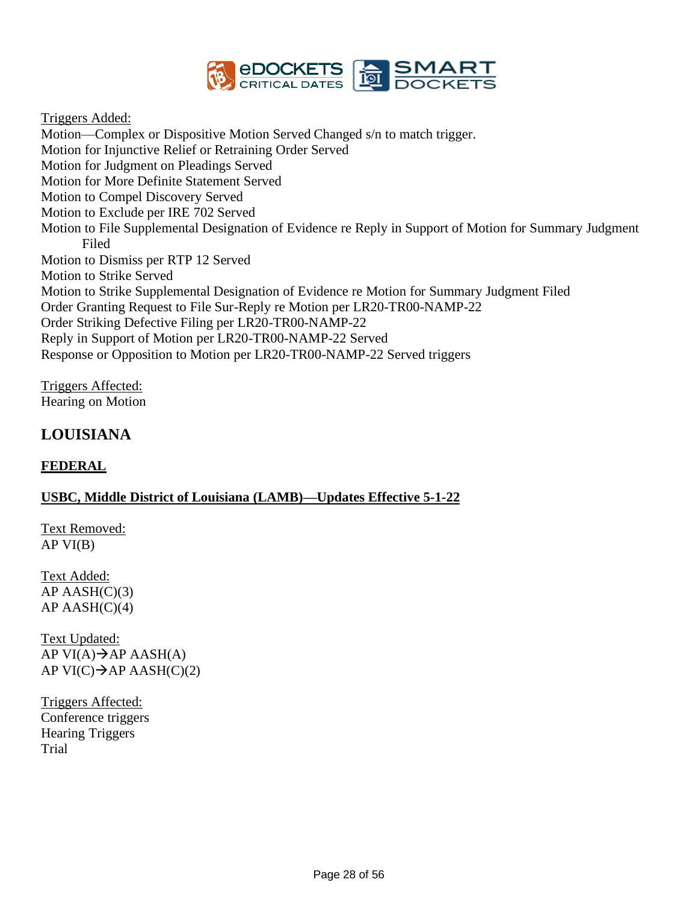

Triggers Added:

Motion—Complex or Dispositive Motion Served Changed s/n to match trigger. Motion for Injunctive Relief or Retraining Order Served Motion for Judgment on Pleadings Served Motion for More Definite Statement Served Motion to Compel Discovery Served Motion to Exclude per IRE 702 Served Motion to File Supplemental Designation of Evidence re Reply in Support of Motion for Summary Judgment Filed Motion to Dismiss per RTP 12 Served Motion to Strike Served Motion to Strike Supplemental Designation of Evidence re Motion for Summary Judgment Filed Order Granting Request to File Sur-Reply re Motion per LR20-TR00-NAMP-22 Order Striking Defective Filing per LR20-TR00-NAMP-22 Reply in Support of Motion per LR20-TR00-NAMP-22 Served Response or Opposition to Motion per LR20-TR00-NAMP-22 Served triggers

Triggers Affected: Hearing on Motion

# **LOUISIANA**

#### **FEDERAL**

#### **USBC, Middle District of Louisiana (LAMB)—Updates Effective 5-1-22**

Text Removed:  $APVI(B)$ 

Text Added:  $AP$  AASH $(C)(3)$  $AP$  AASH $(C)(4)$ 

Text Updated: AP VI $(A) \rightarrow AP$  AASH $(A)$ AP VI $(C) \rightarrow AP$  AASH $(C)(2)$ 

Triggers Affected: Conference triggers Hearing Triggers Trial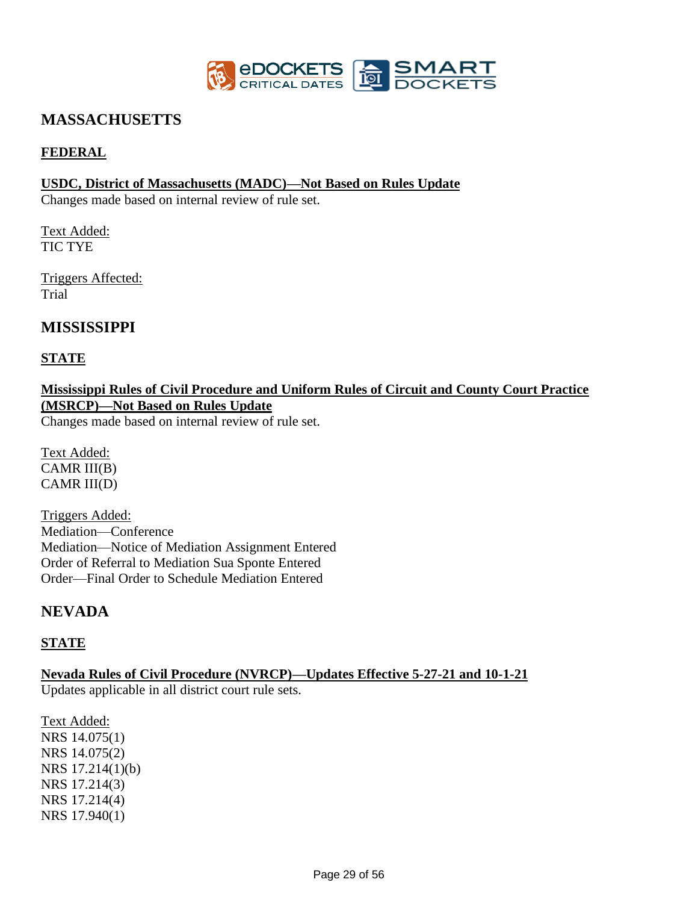

# **MASSACHUSETTS**

#### **FEDERAL**

#### **USDC, District of Massachusetts (MADC)—Not Based on Rules Update**

Changes made based on internal review of rule set.

Text Added: TIC TYE

Triggers Affected: Trial

# **MISSISSIPPI**

#### **STATE**

**Mississippi Rules of Civil Procedure and Uniform Rules of Circuit and County Court Practice (MSRCP)—Not Based on Rules Update** 

Changes made based on internal review of rule set.

Text Added: CAMR III(B) CAMR III(D)

Triggers Added: Mediation—Conference Mediation—Notice of Mediation Assignment Entered Order of Referral to Mediation Sua Sponte Entered Order—Final Order to Schedule Mediation Entered

# **NEVADA**

#### **STATE**

**Nevada Rules of Civil Procedure (NVRCP)—Updates Effective 5-27-21 and 10-1-21** Updates applicable in all district court rule sets.

Text Added: NRS 14.075(1) NRS 14.075(2) NRS 17.214(1)(b) NRS 17.214(3) NRS 17.214(4) NRS 17.940(1)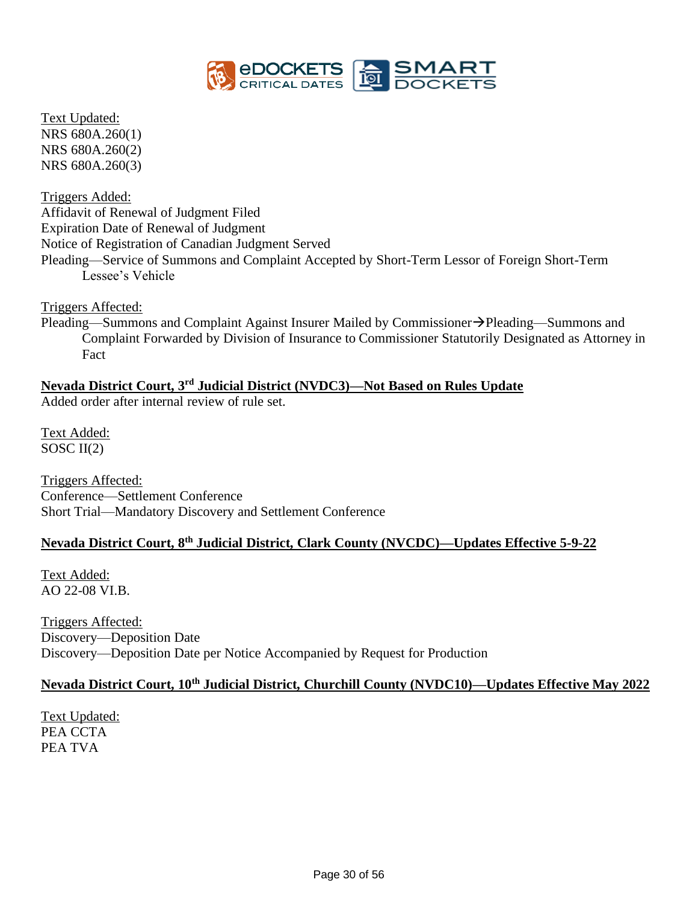

Text Updated: NRS 680A.260(1) NRS 680A.260(2) NRS 680A.260(3)

Triggers Added: Affidavit of Renewal of Judgment Filed Expiration Date of Renewal of Judgment Notice of Registration of Canadian Judgment Served Pleading—Service of Summons and Complaint Accepted by Short-Term Lessor of Foreign Short-Term Lessee's Vehicle

Triggers Affected:

Pleading—Summons and Complaint Against Insurer Mailed by Commissioner→Pleading—Summons and Complaint Forwarded by Division of Insurance to Commissioner Statutorily Designated as Attorney in Fact

# **Nevada District Court, 3rd Judicial District (NVDC3)—Not Based on Rules Update**

Added order after internal review of rule set.

Text Added: SOSC  $II(2)$ 

Triggers Affected: Conference—Settlement Conference Short Trial—Mandatory Discovery and Settlement Conference

# **Nevada District Court, 8th Judicial District, Clark County (NVCDC)—Updates Effective 5-9-22**

Text Added: AO 22-08 VI.B.

Triggers Affected: Discovery—Deposition Date Discovery—Deposition Date per Notice Accompanied by Request for Production

# **Nevada District Court, 10th Judicial District, Churchill County (NVDC10)—Updates Effective May 2022**

Text Updated: PEA CCTA PEA TVA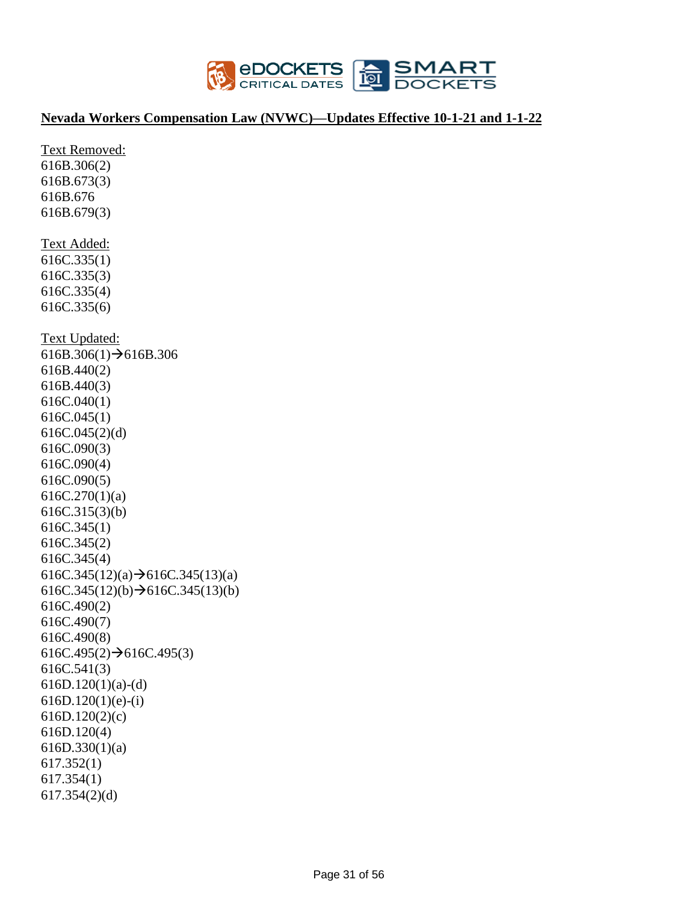

#### **Nevada Workers Compensation Law (NVWC)—Updates Effective 10-1-21 and 1-1-22**

Text Removed: 616B.306(2) 616B.673(3) 616B.676 616B.679(3) Text Added: 616C.335(1) 616C.335(3) 616C.335(4) 616C.335(6) Text Updated:  $616B.306(1) \rightarrow 616B.306$ 616B.440(2) 616B.440(3) 616C.040(1) 616C.045(1) 616C.045(2)(d) 616C.090(3) 616C.090(4) 616C.090(5) 616C.270(1)(a) 616C.315(3)(b) 616C.345(1) 616C.345(2) 616C.345(4) 616C.345(12)(a) $\rightarrow$ 616C.345(13)(a)  $616C.345(12)(b) \rightarrow 616C.345(13)(b)$ 616C.490(2) 616C.490(7) 616C.490(8)  $616C.495(2) \rightarrow 616C.495(3)$ 616C.541(3)  $616D.120(1)(a)-(d)$ 616D.120(1)(e)-(i) 616D.120(2)(c) 616D.120(4) 616D.330(1)(a) 617.352(1) 617.354(1) 617.354(2)(d)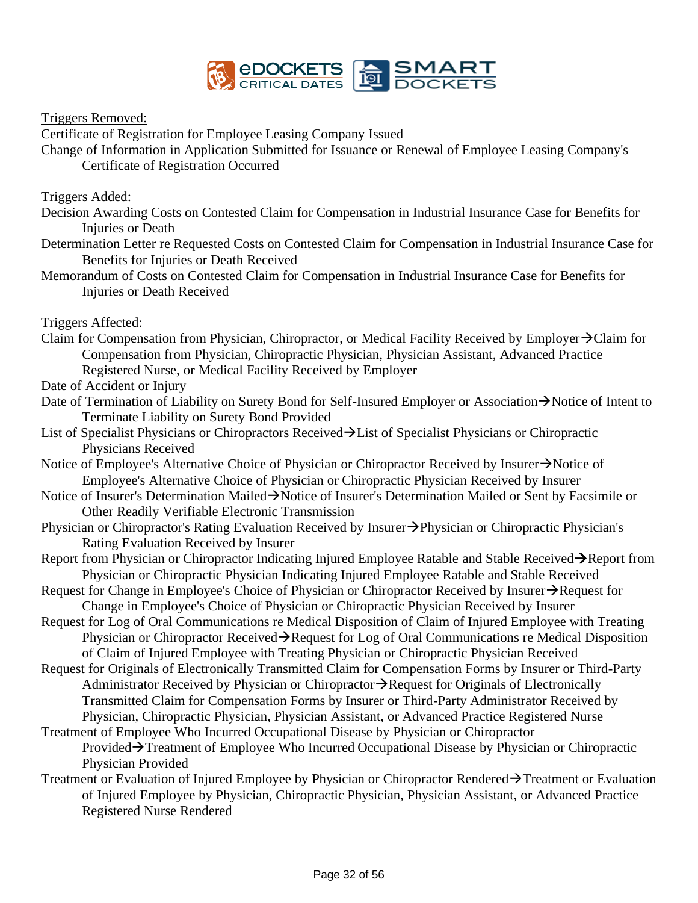

Triggers Removed:

Certificate of Registration for Employee Leasing Company Issued

Change of Information in Application Submitted for Issuance or Renewal of Employee Leasing Company's Certificate of Registration Occurred

Triggers Added:

- Decision Awarding Costs on Contested Claim for Compensation in Industrial Insurance Case for Benefits for Injuries or Death
- Determination Letter re Requested Costs on Contested Claim for Compensation in Industrial Insurance Case for Benefits for Injuries or Death Received
- Memorandum of Costs on Contested Claim for Compensation in Industrial Insurance Case for Benefits for Injuries or Death Received

Triggers Affected:

Claim for Compensation from Physician, Chiropractor, or Medical Facility Received by Employer→Claim for Compensation from Physician, Chiropractic Physician, Physician Assistant, Advanced Practice Registered Nurse, or Medical Facility Received by Employer

Date of Accident or Injury

- Date of Termination of Liability on Surety Bond for Self-Insured Employer or Association→Notice of Intent to Terminate Liability on Surety Bond Provided
- List of Specialist Physicians or Chiropractors Received→List of Specialist Physicians or Chiropractic Physicians Received
- Notice of Employee's Alternative Choice of Physician or Chiropractor Received by Insurer→Notice of Employee's Alternative Choice of Physician or Chiropractic Physician Received by Insurer
- Notice of Insurer's Determination Mailed→Notice of Insurer's Determination Mailed or Sent by Facsimile or Other Readily Verifiable Electronic Transmission
- Physician or Chiropractor's Rating Evaluation Received by Insurer→Physician or Chiropractic Physician's Rating Evaluation Received by Insurer
- Report from Physician or Chiropractor Indicating Injured Employee Ratable and Stable Received→Report from Physician or Chiropractic Physician Indicating Injured Employee Ratable and Stable Received
- Request for Change in Employee's Choice of Physician or Chiropractor Received by Insurer→Request for Change in Employee's Choice of Physician or Chiropractic Physician Received by Insurer
- Request for Log of Oral Communications re Medical Disposition of Claim of Injured Employee with Treating Physician or Chiropractor Received→Request for Log of Oral Communications re Medical Disposition of Claim of Injured Employee with Treating Physician or Chiropractic Physician Received
- Request for Originals of Electronically Transmitted Claim for Compensation Forms by Insurer or Third-Party Administrator Received by Physician or Chiropractor→Request for Originals of Electronically Transmitted Claim for Compensation Forms by Insurer or Third-Party Administrator Received by Physician, Chiropractic Physician, Physician Assistant, or Advanced Practice Registered Nurse
- Treatment of Employee Who Incurred Occupational Disease by Physician or Chiropractor Provided→Treatment of Employee Who Incurred Occupational Disease by Physician or Chiropractic Physician Provided
- Treatment or Evaluation of Injured Employee by Physician or Chiropractor Rendered→Treatment or Evaluation of Injured Employee by Physician, Chiropractic Physician, Physician Assistant, or Advanced Practice Registered Nurse Rendered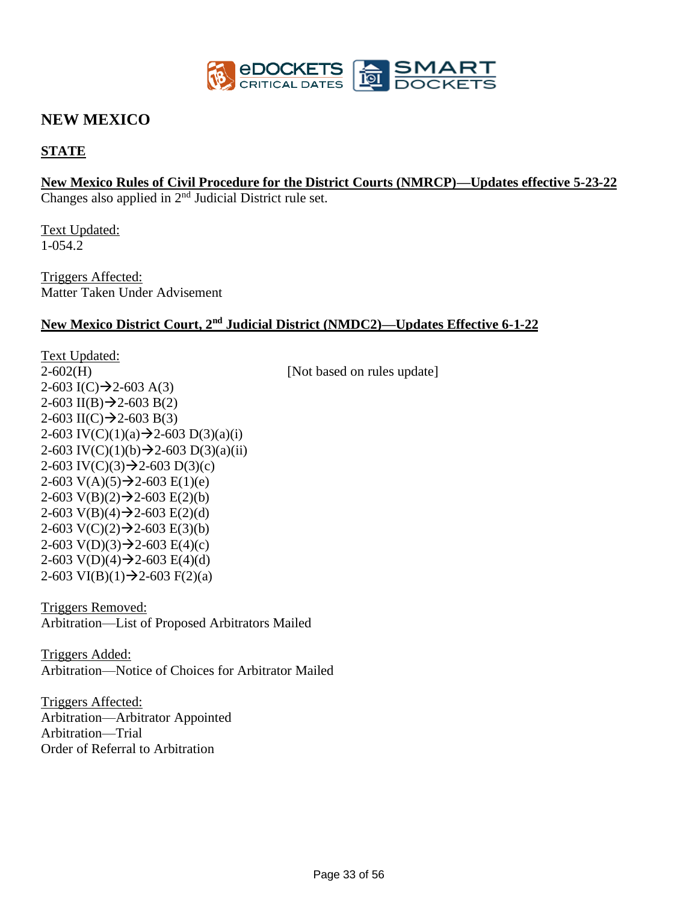

# **NEW MEXICO**

#### **STATE**

# **New Mexico Rules of Civil Procedure for the District Courts (NMRCP)—Updates effective 5-23-22**

Changes also applied in 2<sup>nd</sup> Judicial District rule set.

Text Updated: 1-054.2

Triggers Affected: Matter Taken Under Advisement

#### **New Mexico District Court, 2nd Judicial District (NMDC2)—Updates Effective 6-1-22**

Text Updated:  $2-602(H)$  [Not based on rules update]  $2-603$  I(C) $\rightarrow$ 2-603 A(3)  $2-603$  II(B) $\rightarrow$ 2-603 B(2)  $2-603$  II(C) $\rightarrow$ 2-603 B(3) 2-603 IV(C)(1)(a) $\rightarrow$ 2-603 D(3)(a)(i) 2-603 IV(C)(1)(b)  $\rightarrow$  2-603 D(3)(a)(ii) 2-603 IV(C)(3) $\rightarrow$ 2-603 D(3)(c) 2-603 V(A)(5) $\rightarrow$ 2-603 E(1)(e) 2-603 V(B)(2) $\rightarrow$ 2-603 E(2)(b) 2-603 V(B)(4) $\rightarrow$ 2-603 E(2)(d) 2-603  $V(C)(2) \rightarrow 2$ -603  $E(3)(b)$ 2-603  $V(D)(3) \rightarrow 2$ -603  $E(4)(c)$ 2-603 V(D)(4) $\rightarrow$ 2-603 E(4)(d) 2-603 VI(B)(1) $\rightarrow$ 2-603 F(2)(a)

Triggers Removed: Arbitration—List of Proposed Arbitrators Mailed

Triggers Added: Arbitration—Notice of Choices for Arbitrator Mailed

Triggers Affected: Arbitration—Arbitrator Appointed Arbitration—Trial Order of Referral to Arbitration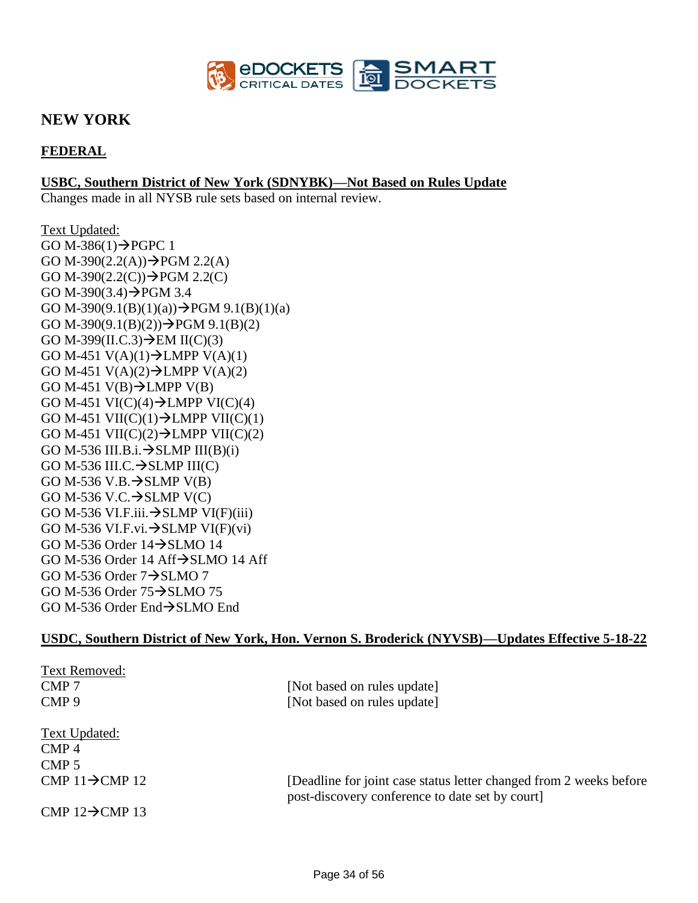

# **NEW YORK**

### **FEDERAL**

#### **USBC, Southern District of New York (SDNYBK)—Not Based on Rules Update**

Changes made in all NYSB rule sets based on internal review.

Text Updated: GO M-386 $(1) \rightarrow$ PGPC 1 GO M-390 $(2.2(A)) \rightarrow PGM$  2.2(A) GO M-390 $(2.2(C)) \rightarrow PGM$  2.2(C) GO M-390 $(3.4)$  $\rightarrow$ PGM 3.4 GO M-390(9.1(B)(1)(a)) $\rightarrow$ PGM 9.1(B)(1)(a) GO M-390(9.1(B)(2)) $\rightarrow$ PGM 9.1(B)(2) GO M-399(II.C.3) $\rightarrow$ EM II(C)(3) GO M-451  $V(A)(1) \rightarrow LMPP V(A)(1)$ GO M-451 V(A)(2) $\rightarrow$ LMPP V(A)(2) GO M-451 V(B) $\rightarrow$ LMPP V(B) GO M-451 VI(C)(4) $\rightarrow$ LMPP VI(C)(4) GO M-451 VII(C)(1) $\rightarrow$ LMPP VII(C)(1) GO M-451 VII(C)(2) $\rightarrow$ LMPP VII(C)(2) GO M-536 III.B.i. $\rightarrow$ SLMP III(B)(i) GO M-536 III.C. $\rightarrow$ SLMP III(C) GO M-536 V.B. $\rightarrow$ SLMP V(B) GO M-536 V.C. $\rightarrow$ SLMP V(C) GO M-536 VI.F.iii. $\rightarrow$ SLMP VI(F)(iii) GO M-536 VI.F.vi. $\rightarrow$ SLMP VI(F)(vi) GO M-536 Order 14→SLMO 14 GO M-536 Order 14 Aff→SLMO 14 Aff GO M-536 Order  $7\rightarrow$ SLMO 7 GO M-536 Order 75→SLMO 75 GO M-536 Order End→SLMO End

#### **USDC, Southern District of New York, Hon. Vernon S. Broderick (NYVSB)—Updates Effective 5-18-22**

| Text Removed:                |                                                                                                                       |
|------------------------------|-----------------------------------------------------------------------------------------------------------------------|
| CMP <sub>7</sub>             | [Not based on rules update]                                                                                           |
| CMP <sub>9</sub>             | [Not based on rules update]                                                                                           |
| <b>Text Updated:</b>         |                                                                                                                       |
| $\mathbf{CMP}$ 4             |                                                                                                                       |
| CMP <sub>5</sub>             |                                                                                                                       |
| CMP $11\rightarrow$ CMP $12$ | [Deadline for joint case status letter changed from 2 weeks before<br>post-discovery conference to date set by court] |
| CMP $12 \rightarrow$ CMP 13  |                                                                                                                       |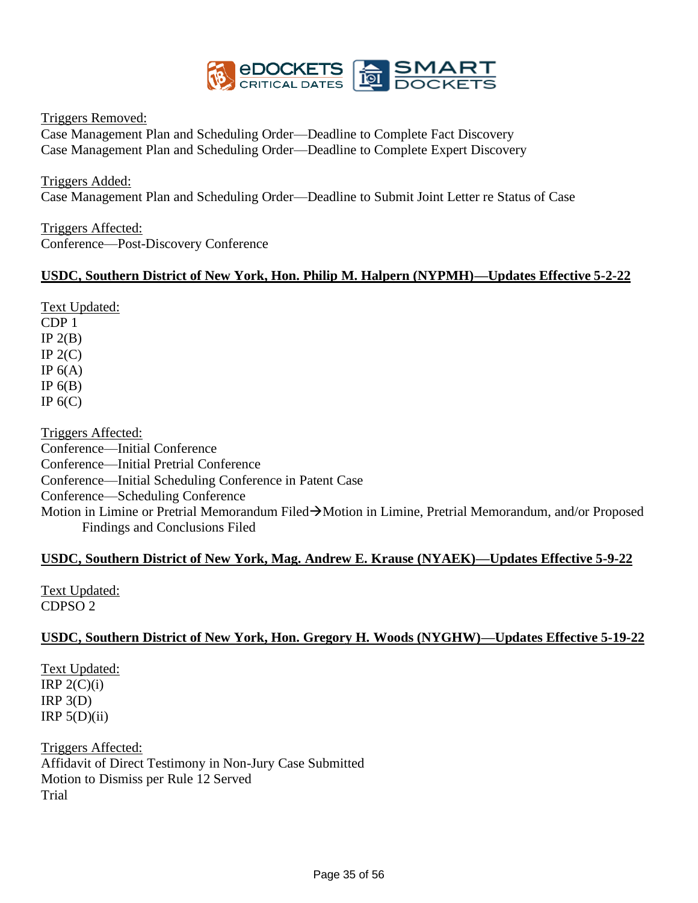

Triggers Removed:

Case Management Plan and Scheduling Order—Deadline to Complete Fact Discovery Case Management Plan and Scheduling Order—Deadline to Complete Expert Discovery

Triggers Added: Case Management Plan and Scheduling Order—Deadline to Submit Joint Letter re Status of Case

Triggers Affected: Conference—Post-Discovery Conference

#### **USDC, Southern District of New York, Hon. Philip M. Halpern (NYPMH)—Updates Effective 5-2-22**

Text Updated: CDP 1 IP  $2(B)$ IP  $2(C)$ IP  $6(A)$ IP  $6(B)$ IP  $6(C)$ 

Triggers Affected: Conference—Initial Conference Conference—Initial Pretrial Conference Conference—Initial Scheduling Conference in Patent Case Conference—Scheduling Conference Motion in Limine or Pretrial Memorandum Filed→Motion in Limine, Pretrial Memorandum, and/or Proposed Findings and Conclusions Filed

#### **USDC, Southern District of New York, Mag. Andrew E. Krause (NYAEK)—Updates Effective 5-9-22**

Text Updated: CDPSO 2

#### **USDC, Southern District of New York, Hon. Gregory H. Woods (NYGHW)—Updates Effective 5-19-22**

Text Updated: IRP  $2(C)(i)$  $IRP_3(D)$ IRP  $5(D)(ii)$ 

Triggers Affected: Affidavit of Direct Testimony in Non-Jury Case Submitted Motion to Dismiss per Rule 12 Served Trial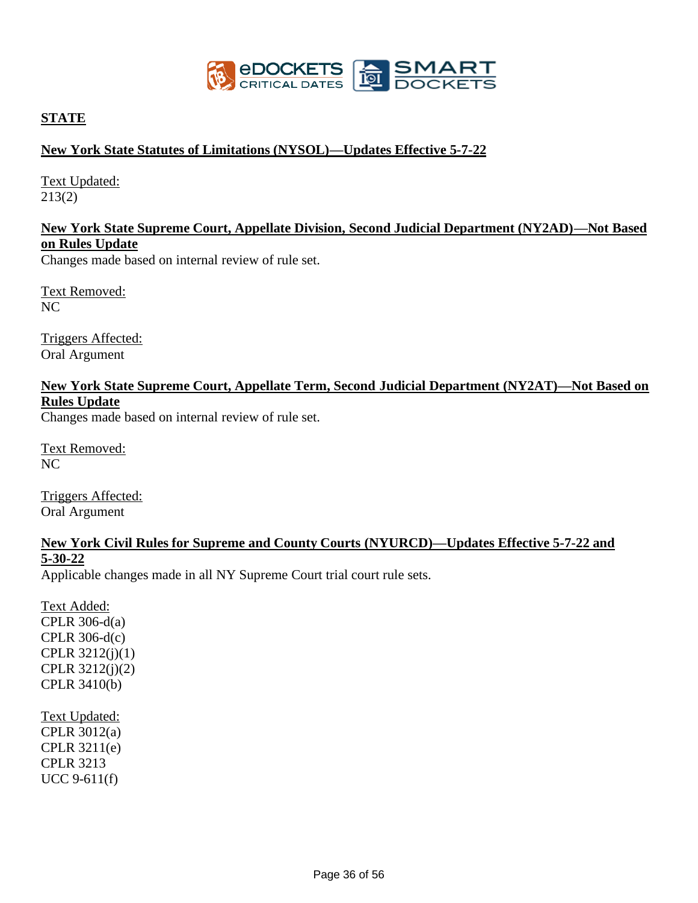

#### **STATE**

#### **New York State Statutes of Limitations (NYSOL)—Updates Effective 5-7-22**

Text Updated: 213(2)

#### **New York State Supreme Court, Appellate Division, Second Judicial Department (NY2AD)—Not Based on Rules Update**

Changes made based on internal review of rule set.

Text Removed: NC

Triggers Affected: Oral Argument

# **New York State Supreme Court, Appellate Term, Second Judicial Department (NY2AT)—Not Based on Rules Update**

Changes made based on internal review of rule set.

Text Removed:  $NC$ 

Triggers Affected: Oral Argument

#### **New York Civil Rules for Supreme and County Courts (NYURCD)—Updates Effective 5-7-22 and 5-30-22**

Applicable changes made in all NY Supreme Court trial court rule sets.

Text Added: CPLR 306-d(a) CPLR 306-d(c) CPLR 3212(j)(1) CPLR 3212(j)(2) CPLR 3410(b)

Text Updated: CPLR 3012(a) CPLR 3211(e) CPLR 3213 UCC 9-611(f)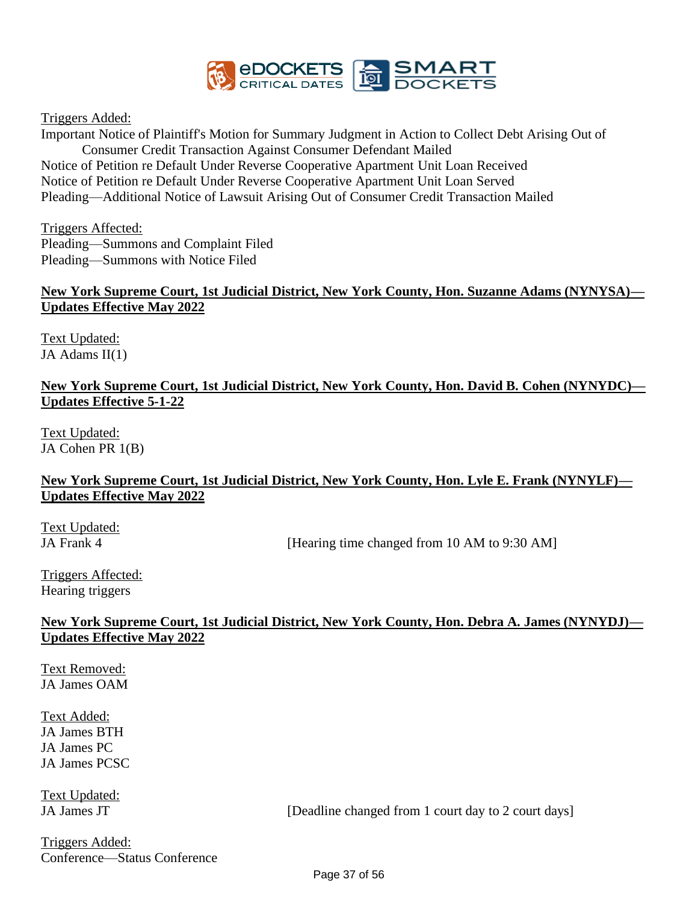

Triggers Added:

Important Notice of Plaintiff's Motion for Summary Judgment in Action to Collect Debt Arising Out of Consumer Credit Transaction Against Consumer Defendant Mailed Notice of Petition re Default Under Reverse Cooperative Apartment Unit Loan Received Notice of Petition re Default Under Reverse Cooperative Apartment Unit Loan Served Pleading—Additional Notice of Lawsuit Arising Out of Consumer Credit Transaction Mailed

Triggers Affected: Pleading—Summons and Complaint Filed Pleading—Summons with Notice Filed

#### **New York Supreme Court, 1st Judicial District, New York County, Hon. Suzanne Adams (NYNYSA)— Updates Effective May 2022**

Text Updated: JA Adams II(1)

#### **New York Supreme Court, 1st Judicial District, New York County, Hon. David B. Cohen (NYNYDC)— Updates Effective 5-1-22**

Text Updated: JA Cohen PR 1(B)

#### **New York Supreme Court, 1st Judicial District, New York County, Hon. Lyle E. Frank (NYNYLF)— Updates Effective May 2022**

Text Updated:

JA Frank 4 [Hearing time changed from 10 AM to 9:30 AM]

Triggers Affected: Hearing triggers

#### **New York Supreme Court, 1st Judicial District, New York County, Hon. Debra A. James (NYNYDJ)— Updates Effective May 2022**

Text Removed: JA James OAM

Text Added: JA James BTH JA James PC JA James PCSC

Text Updated:

JA James JT [Deadline changed from 1 court day to 2 court days]

Triggers Added: Conference—Status Conference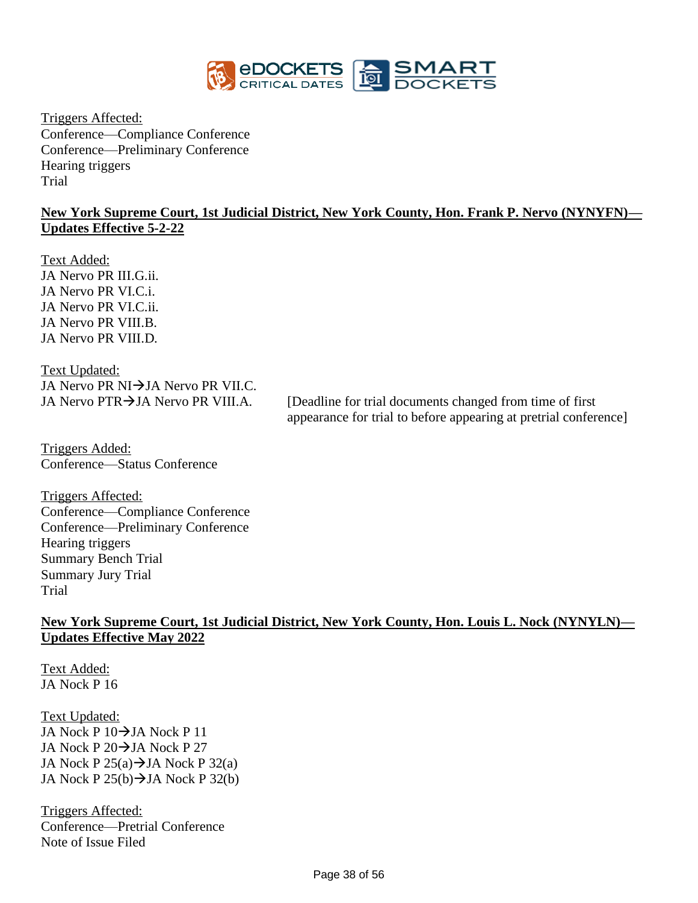

Triggers Affected: Conference—Compliance Conference Conference—Preliminary Conference Hearing triggers Trial

#### **New York Supreme Court, 1st Judicial District, New York County, Hon. Frank P. Nervo (NYNYFN)— Updates Effective 5-2-22**

Text Added: JA Nervo PR III.G.ii. JA Nervo PR VI.C.i. JA Nervo PR VI.C.ii. JA Nervo PR VIII.B. JA Nervo PR VIII.D.

Text Updated: JA Nervo PR NI→JA Nervo PR VII.C.

JA Nervo PTR→JA Nervo PR VIII.A. [Deadline for trial documents changed from time of first appearance for trial to before appearing at pretrial conference]

Triggers Added: Conference—Status Conference

Triggers Affected: Conference—Compliance Conference Conference—Preliminary Conference Hearing triggers Summary Bench Trial Summary Jury Trial Trial

#### **New York Supreme Court, 1st Judicial District, New York County, Hon. Louis L. Nock (NYNYLN)— Updates Effective May 2022**

Text Added: JA Nock P 16

Text Updated: JA Nock P 10→JA Nock P 11 JA Nock P 20→JA Nock P 27 JA Nock P  $25(a) \rightarrow$ JA Nock P  $32(a)$ JA Nock P  $25(b) \rightarrow$ JA Nock P  $32(b)$ 

Triggers Affected: Conference—Pretrial Conference Note of Issue Filed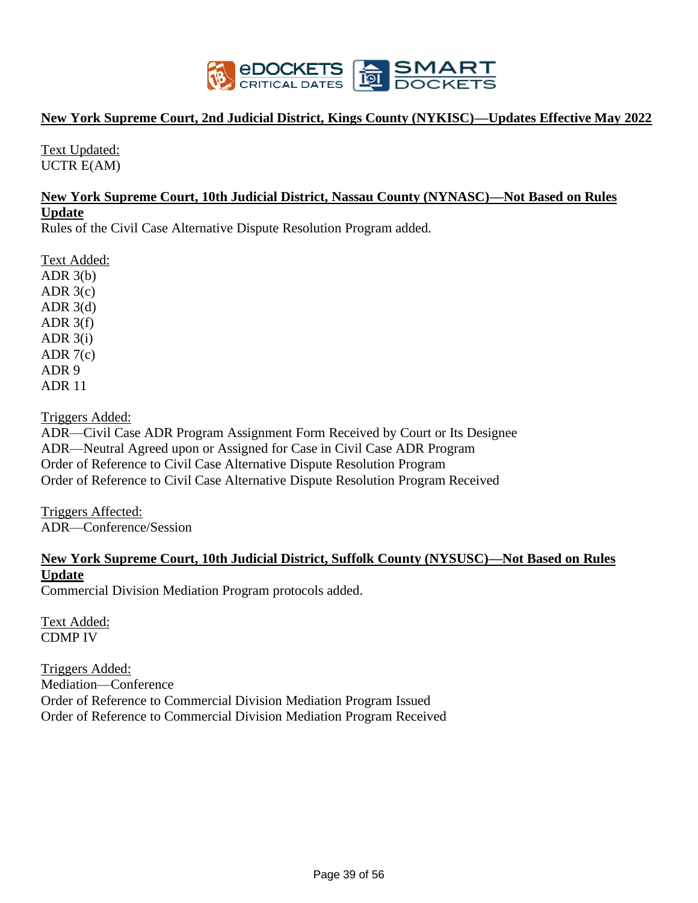

#### **New York Supreme Court, 2nd Judicial District, Kings County (NYKISC)—Updates Effective May 2022**

Text Updated: UCTR E(AM)

#### **New York Supreme Court, 10th Judicial District, Nassau County (NYNASC)—Not Based on Rules Update**

Rules of the Civil Case Alternative Dispute Resolution Program added.

Text Added: ADR  $3(b)$ ADR  $3(c)$ ADR  $3(d)$ ADR  $3(f)$ ADR  $3(i)$ ADR  $7(c)$ ADR 9 ADR 11

Triggers Added:

ADR—Civil Case ADR Program Assignment Form Received by Court or Its Designee ADR—Neutral Agreed upon or Assigned for Case in Civil Case ADR Program Order of Reference to Civil Case Alternative Dispute Resolution Program Order of Reference to Civil Case Alternative Dispute Resolution Program Received

Triggers Affected: ADR—Conference/Session

#### **New York Supreme Court, 10th Judicial District, Suffolk County (NYSUSC)—Not Based on Rules Update**

Commercial Division Mediation Program protocols added.

Text Added: CDMP IV

Triggers Added: Mediation—Conference Order of Reference to Commercial Division Mediation Program Issued Order of Reference to Commercial Division Mediation Program Received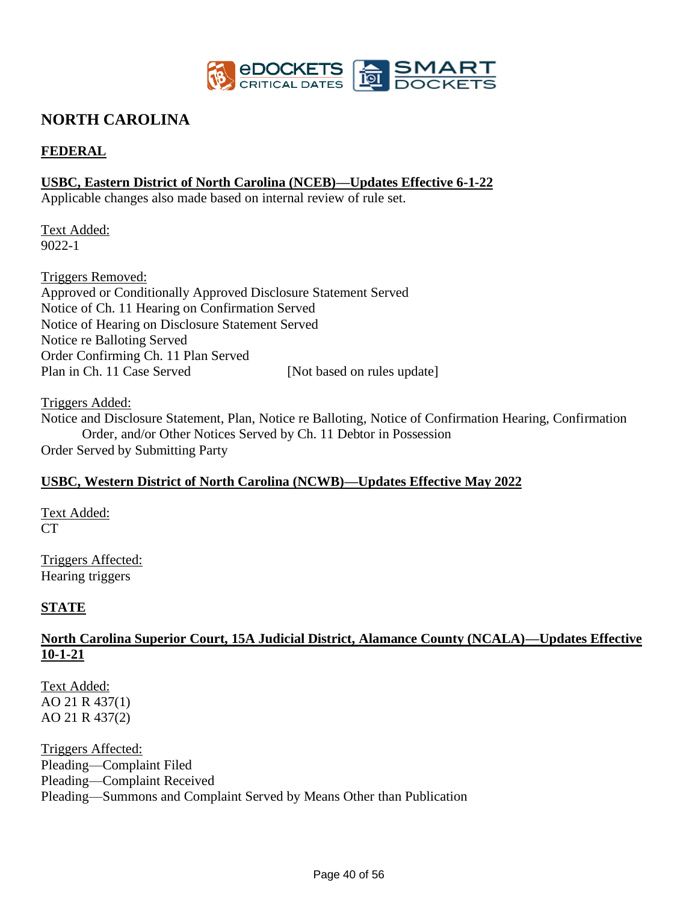

# **NORTH CAROLINA**

### **FEDERAL**

#### **USBC, Eastern District of North Carolina (NCEB)—Updates Effective 6-1-22**

Applicable changes also made based on internal review of rule set.

Text Added: 9022-1

Triggers Removed: Approved or Conditionally Approved Disclosure Statement Served Notice of Ch. 11 Hearing on Confirmation Served Notice of Hearing on Disclosure Statement Served Notice re Balloting Served Order Confirming Ch. 11 Plan Served Plan in Ch. 11 Case Served [Not based on rules update]

Triggers Added:

Notice and Disclosure Statement, Plan, Notice re Balloting, Notice of Confirmation Hearing, Confirmation Order, and/or Other Notices Served by Ch. 11 Debtor in Possession Order Served by Submitting Party

#### **USBC, Western District of North Carolina (NCWB)—Updates Effective May 2022**

Text Added: **CT** 

Triggers Affected: Hearing triggers

#### **STATE**

#### **North Carolina Superior Court, 15A Judicial District, Alamance County (NCALA)—Updates Effective 10-1-21**

Text Added: AO 21 R 437(1) AO 21 R 437(2)

Triggers Affected: Pleading—Complaint Filed Pleading—Complaint Received Pleading—Summons and Complaint Served by Means Other than Publication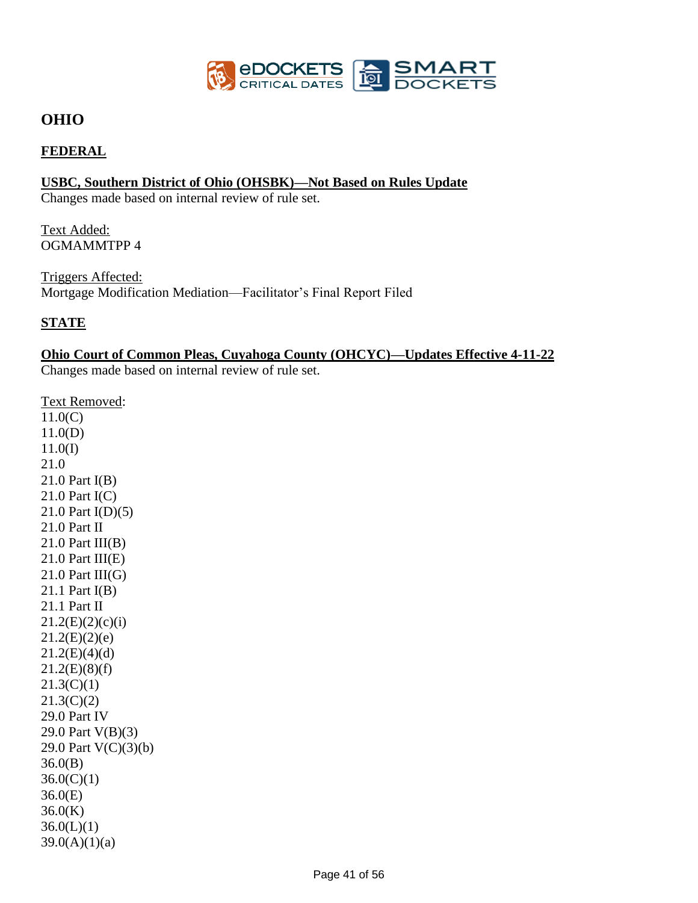

# **OHIO**

#### **FEDERAL**

#### **USBC, Southern District of Ohio (OHSBK)—Not Based on Rules Update**

Changes made based on internal review of rule set.

Text Added: OGMAMMTPP 4

Triggers Affected: Mortgage Modification Mediation—Facilitator's Final Report Filed

### **STATE**

### **Ohio Court of Common Pleas, Cuyahoga County (OHCYC)—Updates Effective 4-11-22**

Changes made based on internal review of rule set.

Text Removed: 11.0(C) 11.0(D) 11.0(I) 21.0 21.0 Part I(B) 21.0 Part I(C) 21.0 Part I(D)(5) 21.0 Part II  $21.0$  Part III(B)  $21.0$  Part III(E)  $21.0$  Part III(G) 21.1 Part I(B) 21.1 Part II  $21.2(E)(2)(c)(i)$  $21.2(E)(2)(e)$  $21.2(E)(4)(d)$  $21.2(E)(8)(f)$  $21.3(C)(1)$  $21.3(C)(2)$ 29.0 Part IV 29.0 Part V(B)(3) 29.0 Part V(C)(3)(b) 36.0(B)  $36.0(C)(1)$ 36.0(E) 36.0(K)  $36.0(L)(1)$  $39.0(A)(1)(a)$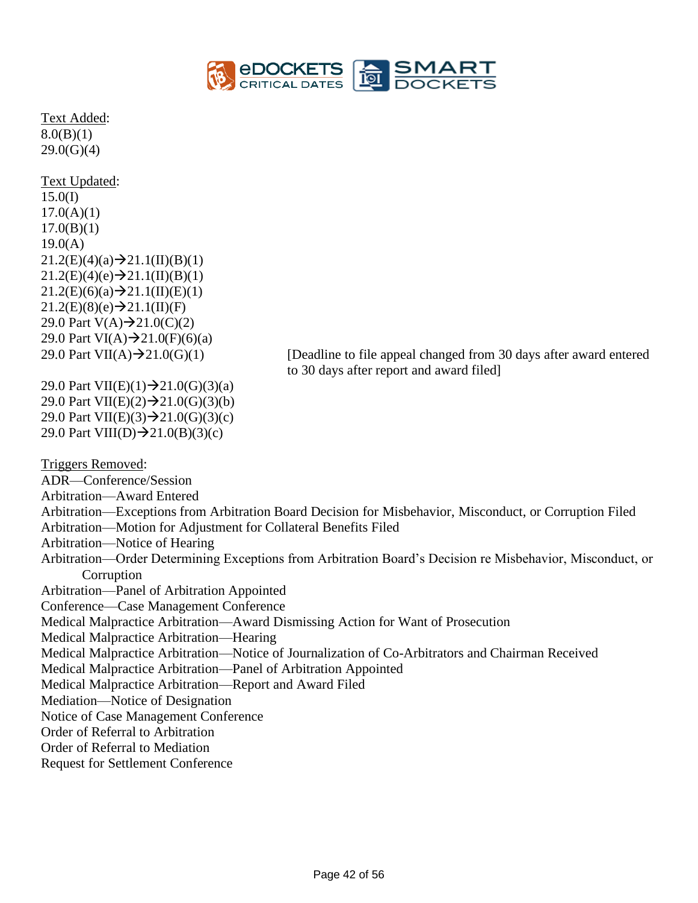

Text Added:  $8.0(B)(1)$  $29.0(G)(4)$ 

Text Updated: 15.0(I)  $17.0(A)(1)$  $17.0(B)(1)$ 19.0(A)  $21.2(E)(4)(a) \rightarrow 21.1(II)(B)(1)$  $21.2(E)(4)(e) \rightarrow 21.1(II)(B)(1)$  $21.2(E)(6)(a) \rightarrow 21.1(II)(E)(1)$  $21.2(E)(8)(e) \rightarrow 21.1(II)(F)$ 29.0 Part  $V(A) \rightarrow 21.0(C)(2)$ 29.0 Part VI(A) $\rightarrow$ 21.0(F)(6)(a)

29.0 Part VII(A) $\rightarrow$ 21.0(G)(1) [Deadline to file appeal changed from 30 days after award entered to 30 days after report and award filed]

29.0 Part VII(E)(1) $\rightarrow$ 21.0(G)(3)(a) 29.0 Part VII(E)(2) $\rightarrow$ 21.0(G)(3)(b) 29.0 Part VII(E)(3) $\rightarrow$ 21.0(G)(3)(c) 29.0 Part VIII(D) $\rightarrow$ 21.0(B)(3)(c)

Triggers Removed:

ADR—Conference/Session Arbitration—Award Entered Arbitration—Exceptions from Arbitration Board Decision for Misbehavior, Misconduct, or Corruption Filed Arbitration—Motion for Adjustment for Collateral Benefits Filed Arbitration—Notice of Hearing Arbitration—Order Determining Exceptions from Arbitration Board's Decision re Misbehavior, Misconduct, or **Corruption** Arbitration—Panel of Arbitration Appointed Conference—Case Management Conference Medical Malpractice Arbitration—Award Dismissing Action for Want of Prosecution Medical Malpractice Arbitration—Hearing Medical Malpractice Arbitration—Notice of Journalization of Co-Arbitrators and Chairman Received Medical Malpractice Arbitration—Panel of Arbitration Appointed Medical Malpractice Arbitration—Report and Award Filed Mediation—Notice of Designation Notice of Case Management Conference Order of Referral to Arbitration Order of Referral to Mediation Request for Settlement Conference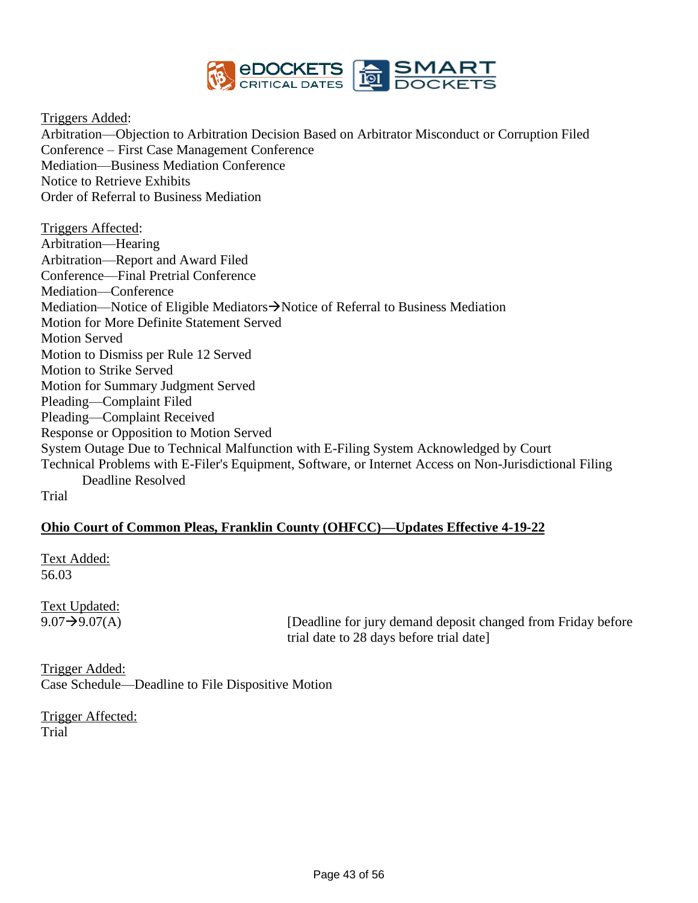

Triggers Added:

Arbitration—Objection to Arbitration Decision Based on Arbitrator Misconduct or Corruption Filed Conference – First Case Management Conference Mediation—Business Mediation Conference Notice to Retrieve Exhibits Order of Referral to Business Mediation

Triggers Affected: Arbitration—Hearing Arbitration—Report and Award Filed Conference—Final Pretrial Conference Mediation—Conference Mediation—Notice of Eligible Mediators→Notice of Referral to Business Mediation Motion for More Definite Statement Served Motion Served Motion to Dismiss per Rule 12 Served Motion to Strike Served Motion for Summary Judgment Served Pleading—Complaint Filed Pleading—Complaint Received Response or Opposition to Motion Served System Outage Due to Technical Malfunction with E-Filing System Acknowledged by Court Technical Problems with E-Filer's Equipment, Software, or Internet Access on Non-Jurisdictional Filing Deadline Resolved Trial

#### **Ohio Court of Common Pleas, Franklin County (OHFCC)—Updates Effective 4-19-22**

Text Added: 56.03

Text Updated:

 $9.07 \rightarrow 9.07(A)$  [Deadline for jury demand deposit changed from Friday before trial date to 28 days before trial date]

Trigger Added: Case Schedule—Deadline to File Dispositive Motion

Trigger Affected: Trial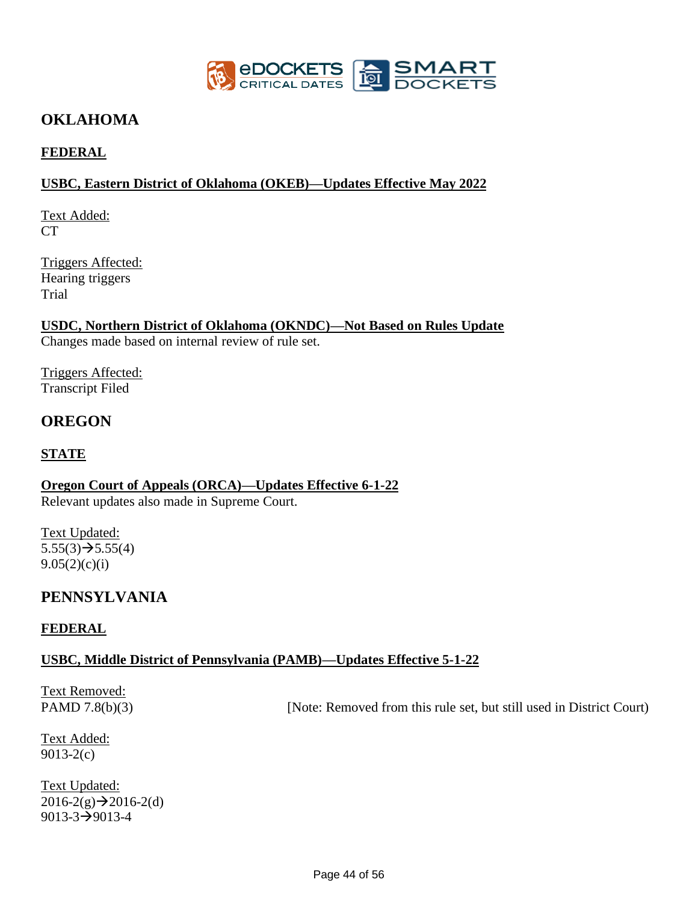

# **OKLAHOMA**

### **FEDERAL**

#### **USBC, Eastern District of Oklahoma (OKEB)—Updates Effective May 2022**

Text Added: CT

Triggers Affected: Hearing triggers Trial

**USDC, Northern District of Oklahoma (OKNDC)—Not Based on Rules Update** Changes made based on internal review of rule set.

Triggers Affected: Transcript Filed

# **OREGON**

### **STATE**

**Oregon Court of Appeals (ORCA)—Updates Effective 6-1-22** Relevant updates also made in Supreme Court.

Text Updated:  $5.55(3) \rightarrow 5.55(4)$  $9.05(2)(c)(i)$ 

# **PENNSYLVANIA**

#### **FEDERAL**

#### **USBC, Middle District of Pennsylvania (PAMB)—Updates Effective 5-1-22**

Text Removed:

PAMD 7.8(b)(3) [Note: Removed from this rule set, but still used in District Court)

Text Added: 9013-2(c)

Text Updated:  $2016-2(g) \rightarrow 2016-2(d)$ 9013-3→9013-4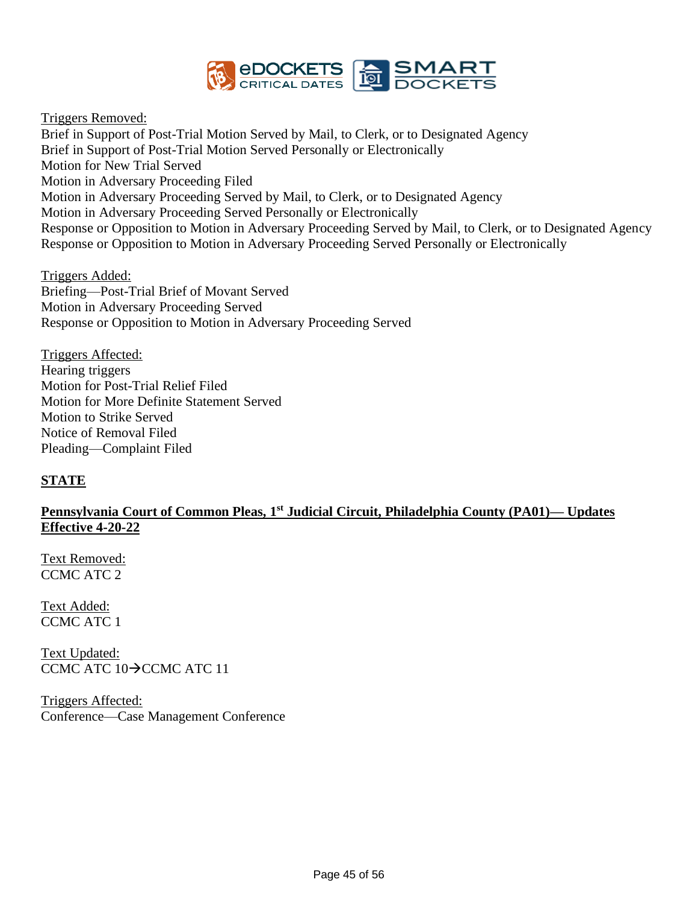

Triggers Removed:

Brief in Support of Post-Trial Motion Served by Mail, to Clerk, or to Designated Agency Brief in Support of Post-Trial Motion Served Personally or Electronically Motion for New Trial Served Motion in Adversary Proceeding Filed Motion in Adversary Proceeding Served by Mail, to Clerk, or to Designated Agency Motion in Adversary Proceeding Served Personally or Electronically Response or Opposition to Motion in Adversary Proceeding Served by Mail, to Clerk, or to Designated Agency Response or Opposition to Motion in Adversary Proceeding Served Personally or Electronically

Triggers Added: Briefing—Post-Trial Brief of Movant Served Motion in Adversary Proceeding Served Response or Opposition to Motion in Adversary Proceeding Served

Triggers Affected: Hearing triggers Motion for Post-Trial Relief Filed Motion for More Definite Statement Served Motion to Strike Served Notice of Removal Filed Pleading—Complaint Filed

#### **STATE**

#### **Pennsylvania Court of Common Pleas, 1st Judicial Circuit, Philadelphia County (PA01)— Updates Effective 4-20-22**

Text Removed: CCMC ATC 2

Text Added: CCMC ATC 1

Text Updated: CCMC ATC 10→CCMC ATC 11

Triggers Affected: Conference—Case Management Conference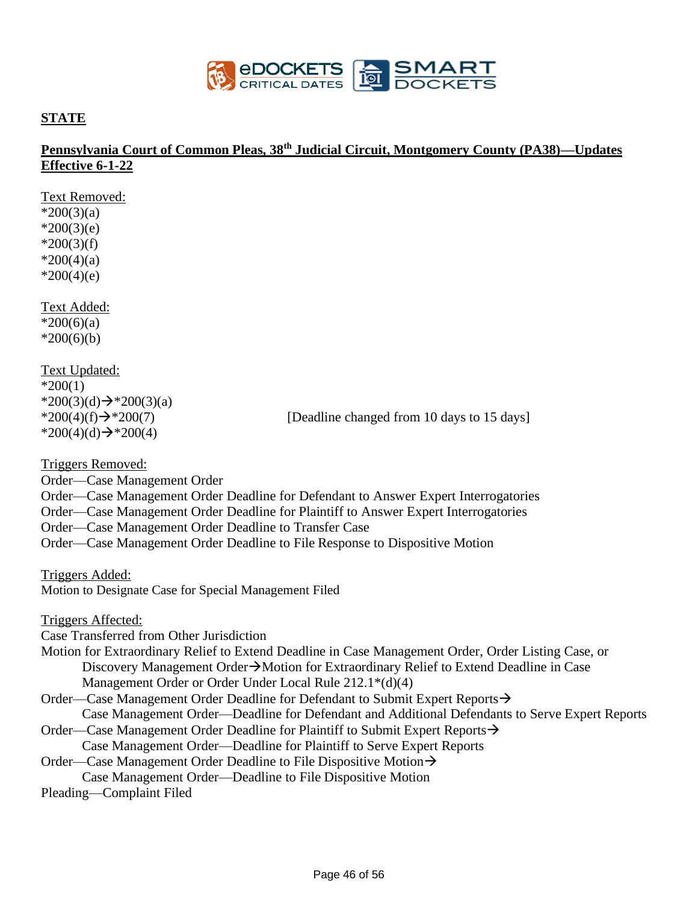

#### **STATE**

Text Removed:

### **Pennsylvania Court of Common Pleas, 38th Judicial Circuit, Montgomery County (PA38)—Updates Effective 6-1-22**

 $*200(3)(a)$  $*200(3)(e)$  $*200(3)(f)$  $*200(4)(a)$  $*200(4)(e)$ Text Added:  $*200(6)(a)$  $*200(6)(b)$ Text Updated:  $*200(1)$ \*200(3)(d) $\rightarrow$ \*200(3)(a)  $*200(4)(f) \rightarrow *200(7)$  [Deadline changed from 10 days to 15 days] \*200(4)(d)→\*200(4) Triggers Removed: Order—Case Management Order Order—Case Management Order Deadline for Defendant to Answer Expert Interrogatories Order—Case Management Order Deadline for Plaintiff to Answer Expert Interrogatories Order—Case Management Order Deadline to Transfer Case Order—Case Management Order Deadline to File Response to Dispositive Motion Triggers Added: Motion to Designate Case for Special Management Filed Triggers Affected: Case Transferred from Other Jurisdiction Motion for Extraordinary Relief to Extend Deadline in Case Management Order, Order Listing Case, or Discovery Management Order→Motion for Extraordinary Relief to Extend Deadline in Case Management Order or Order Under Local Rule 212.1\*(d)(4) Order—Case Management Order Deadline for Defendant to Submit Expert Reports→ Case Management Order—Deadline for Defendant and Additional Defendants to Serve Expert Reports Order—Case Management Order Deadline for Plaintiff to Submit Expert Reports→ Case Management Order—Deadline for Plaintiff to Serve Expert Reports Order—Case Management Order Deadline to File Dispositive Motion→ Case Management Order—Deadline to File Dispositive Motion Pleading—Complaint Filed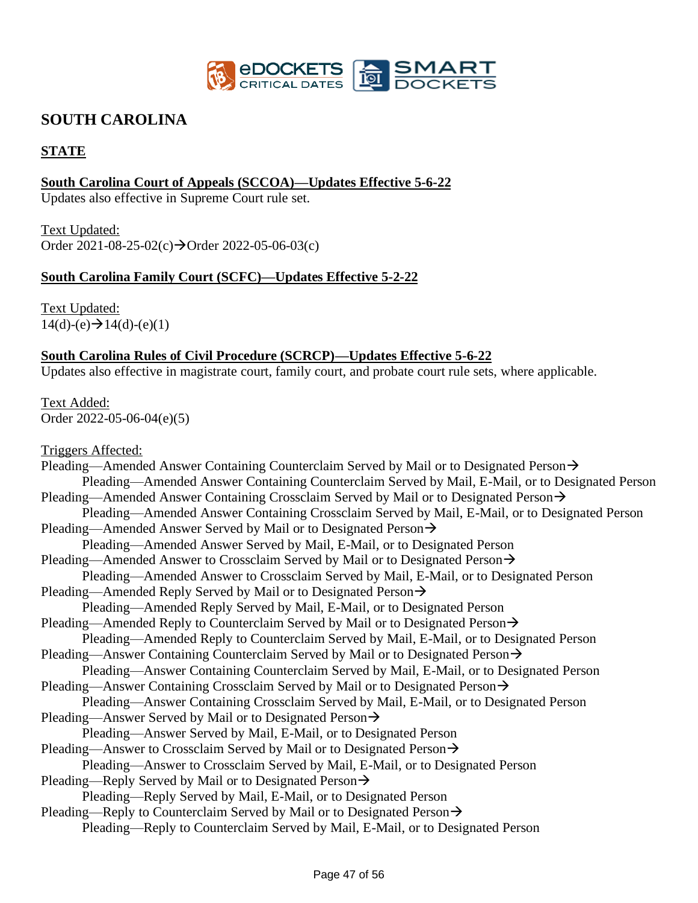

# **SOUTH CAROLINA**

### **STATE**

### **South Carolina Court of Appeals (SCCOA)—Updates Effective 5-6-22**

Updates also effective in Supreme Court rule set.

Text Updated: Order  $2021-08-25-02(c) \rightarrow$ Order  $2022-05-06-03(c)$ 

#### **South Carolina Family Court (SCFC)—Updates Effective 5-2-22**

Text Updated:  $14(d)-(e) \rightarrow 14(d)-(e)(1)$ 

#### **South Carolina Rules of Civil Procedure (SCRCP)—Updates Effective 5-6-22**

Updates also effective in magistrate court, family court, and probate court rule sets, where applicable.

Text Added: Order 2022-05-06-04(e)(5)

Triggers Affected: Pleading—Amended Answer Containing Counterclaim Served by Mail or to Designated Person→ Pleading—Amended Answer Containing Counterclaim Served by Mail, E-Mail, or to Designated Person Pleading—Amended Answer Containing Crossclaim Served by Mail or to Designated Person→ Pleading—Amended Answer Containing Crossclaim Served by Mail, E-Mail, or to Designated Person Pleading—Amended Answer Served by Mail or to Designated Person→ Pleading—Amended Answer Served by Mail, E-Mail, or to Designated Person Pleading—Amended Answer to Crossclaim Served by Mail or to Designated Person→ Pleading—Amended Answer to Crossclaim Served by Mail, E-Mail, or to Designated Person Pleading—Amended Reply Served by Mail or to Designated Person→ Pleading—Amended Reply Served by Mail, E-Mail, or to Designated Person Pleading—Amended Reply to Counterclaim Served by Mail or to Designated Person→ Pleading—Amended Reply to Counterclaim Served by Mail, E-Mail, or to Designated Person Pleading—Answer Containing Counterclaim Served by Mail or to Designated Person→ Pleading—Answer Containing Counterclaim Served by Mail, E-Mail, or to Designated Person Pleading—Answer Containing Crossclaim Served by Mail or to Designated Person→ Pleading—Answer Containing Crossclaim Served by Mail, E-Mail, or to Designated Person Pleading—Answer Served by Mail or to Designated Person→ Pleading—Answer Served by Mail, E-Mail, or to Designated Person Pleading—Answer to Crossclaim Served by Mail or to Designated Person→ Pleading—Answer to Crossclaim Served by Mail, E-Mail, or to Designated Person Pleading—Reply Served by Mail or to Designated Person→ Pleading—Reply Served by Mail, E-Mail, or to Designated Person Pleading—Reply to Counterclaim Served by Mail or to Designated Person→ Pleading—Reply to Counterclaim Served by Mail, E-Mail, or to Designated Person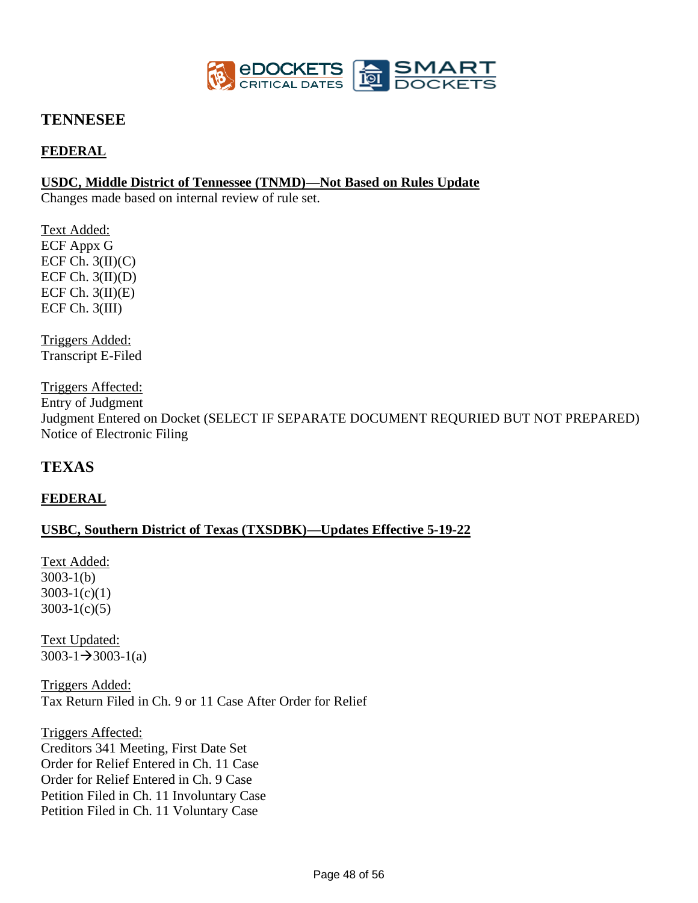

### **TENNESEE**

### **FEDERAL**

#### **USDC, Middle District of Tennessee (TNMD)—Not Based on Rules Update**

Changes made based on internal review of rule set.

Text Added: ECF Appx G ECF Ch.  $3(II)(C)$ ECF Ch.  $3(II)(D)$ ECF Ch.  $3(II)(E)$ ECF Ch. 3(III)

Triggers Added: Transcript E-Filed

Triggers Affected: Entry of Judgment

Judgment Entered on Docket (SELECT IF SEPARATE DOCUMENT REQURIED BUT NOT PREPARED) Notice of Electronic Filing

# **TEXAS**

#### **FEDERAL**

#### **USBC, Southern District of Texas (TXSDBK)—Updates Effective 5-19-22**

Text Added: 3003-1(b)  $3003-1(c)(1)$  $3003-1(c)(5)$ 

Text Updated:  $3003-1 \rightarrow 3003-1(a)$ 

Triggers Added: Tax Return Filed in Ch. 9 or 11 Case After Order for Relief

Triggers Affected: Creditors 341 Meeting, First Date Set Order for Relief Entered in Ch. 11 Case Order for Relief Entered in Ch. 9 Case Petition Filed in Ch. 11 Involuntary Case Petition Filed in Ch. 11 Voluntary Case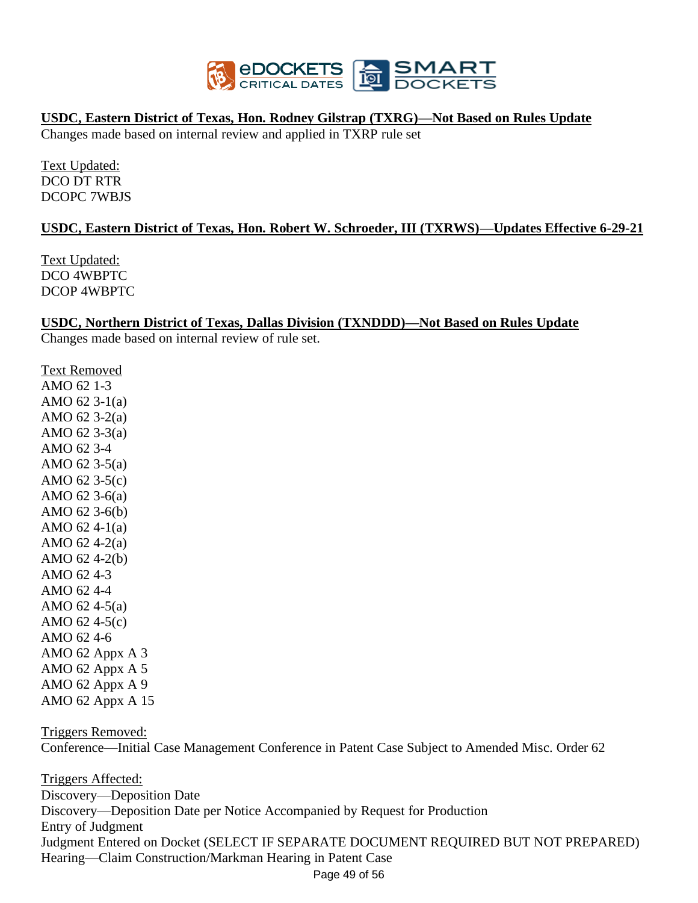

#### **USDC, Eastern District of Texas, Hon. Rodney Gilstrap (TXRG)—Not Based on Rules Update**

Changes made based on internal review and applied in TXRP rule set

Text Updated: DCO DT RTR DCOPC 7WBJS

#### **USDC, Eastern District of Texas, Hon. Robert W. Schroeder, III (TXRWS)—Updates Effective 6-29-21**

Text Updated: DCO 4WBPTC DCOP 4WBPTC

#### **USDC, Northern District of Texas, Dallas Division (TXNDDD)—Not Based on Rules Update**

Changes made based on internal review of rule set.

Text Removed AMO 62 1-3 AMO 62 3-1(a) AMO 62 3-2(a) AMO 62 3-3(a) AMO 62 3-4 AMO 62 3-5(a) AMO 62 3-5(c) AMO 62 3-6(a) AMO 62 3-6(b) AMO 62 4-1(a) AMO 62 4-2(a) AMO 62 4-2(b) AMO 62 4-3 AMO 62 4-4 AMO 62 4-5(a) AMO 62 4-5(c) AMO 62 4-6 AMO 62 Appx A 3 AMO 62 Appx A 5 AMO 62 Appx A 9 AMO 62 Appx A 15

Triggers Removed:

Conference—Initial Case Management Conference in Patent Case Subject to Amended Misc. Order 62

Page 49 of 56 Triggers Affected: Discovery—Deposition Date Discovery—Deposition Date per Notice Accompanied by Request for Production Entry of Judgment Judgment Entered on Docket (SELECT IF SEPARATE DOCUMENT REQUIRED BUT NOT PREPARED) Hearing—Claim Construction/Markman Hearing in Patent Case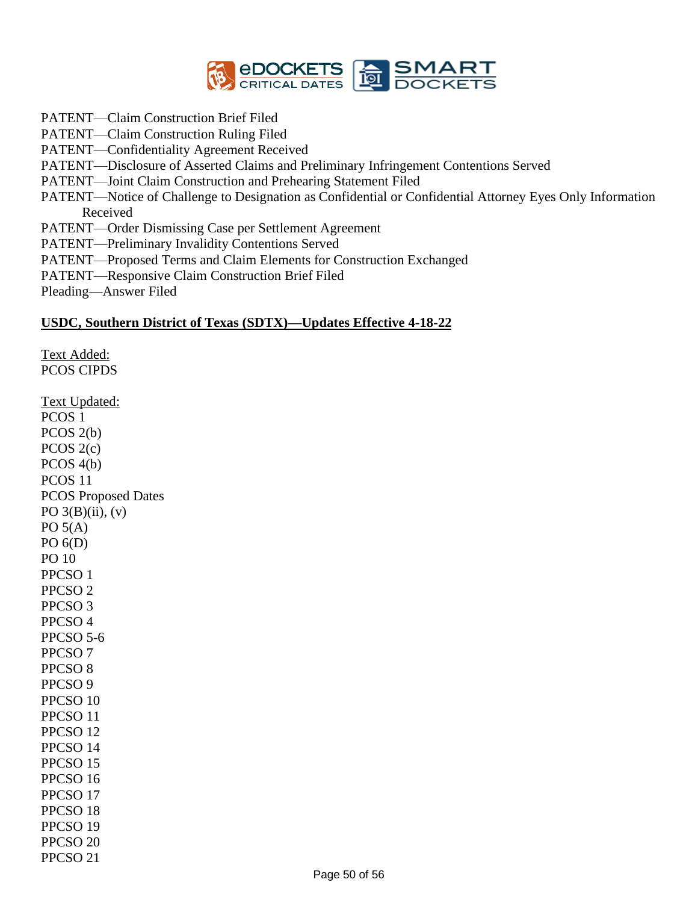

- PATENT—Claim Construction Brief Filed
- PATENT—Claim Construction Ruling Filed
- PATENT—Confidentiality Agreement Received
- PATENT—Disclosure of Asserted Claims and Preliminary Infringement Contentions Served
- PATENT—Joint Claim Construction and Prehearing Statement Filed
- PATENT—Notice of Challenge to Designation as Confidential or Confidential Attorney Eyes Only Information Received
- PATENT—Order Dismissing Case per Settlement Agreement
- PATENT—Preliminary Invalidity Contentions Served
- PATENT—Proposed Terms and Claim Elements for Construction Exchanged
- PATENT—Responsive Claim Construction Brief Filed
- Pleading—Answer Filed

#### **USDC, Southern District of Texas (SDTX)—Updates Effective 4-18-22**

Text Added: PCOS CIPDS Text Updated: PCOS 1 PCOS 2(b) PCOS 2(c) PCOS 4(b) PCOS 11 PCOS Proposed Dates PO  $3(B)(ii)$ ,  $(v)$  $PO(5(A))$ PO 6(D) PO 10 PPCSO 1 PPCSO 2 PPCSO 3 PPCSO 4 PPCSO 5-6 PPCSO 7 PPCSO 8 PPCSO 9 PPCSO 10 PPCSO 11 PPCSO 12 PPCSO 14 PPCSO 15 PPCSO 16 PPCSO 17 PPCSO 18 PPCSO 19 PPCSO 20 PPCSO 21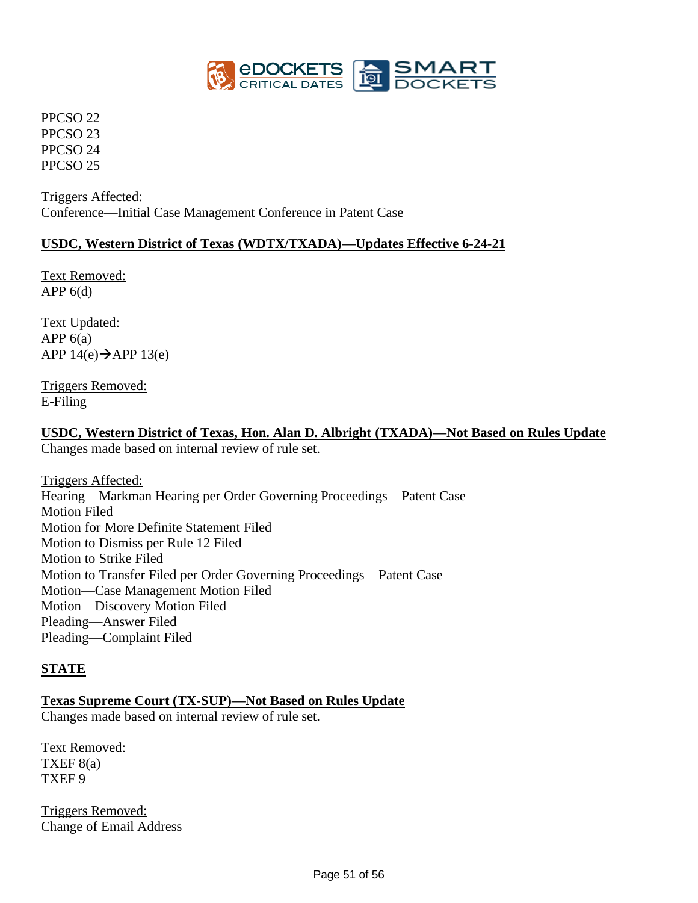

PPCSO 22 PPCSO 23 PPCSO 24 PPCSO 25

Triggers Affected: Conference—Initial Case Management Conference in Patent Case

#### **USDC, Western District of Texas (WDTX/TXADA)—Updates Effective 6-24-21**

Text Removed: APP  $6(d)$ 

Text Updated: APP  $6(a)$ APP  $14(e) \rightarrow APP 13(e)$ 

Triggers Removed: E-Filing

#### **USDC, Western District of Texas, Hon. Alan D. Albright (TXADA)—Not Based on Rules Update**

Changes made based on internal review of rule set.

Triggers Affected: Hearing—Markman Hearing per Order Governing Proceedings – Patent Case Motion Filed Motion for More Definite Statement Filed Motion to Dismiss per Rule 12 Filed Motion to Strike Filed Motion to Transfer Filed per Order Governing Proceedings – Patent Case Motion—Case Management Motion Filed Motion—Discovery Motion Filed Pleading—Answer Filed Pleading—Complaint Filed

#### **STATE**

# **Texas Supreme Court (TX-SUP)—Not Based on Rules Update**

Changes made based on internal review of rule set.

Text Removed: TXEF  $8(a)$ TXEF 9

Triggers Removed: Change of Email Address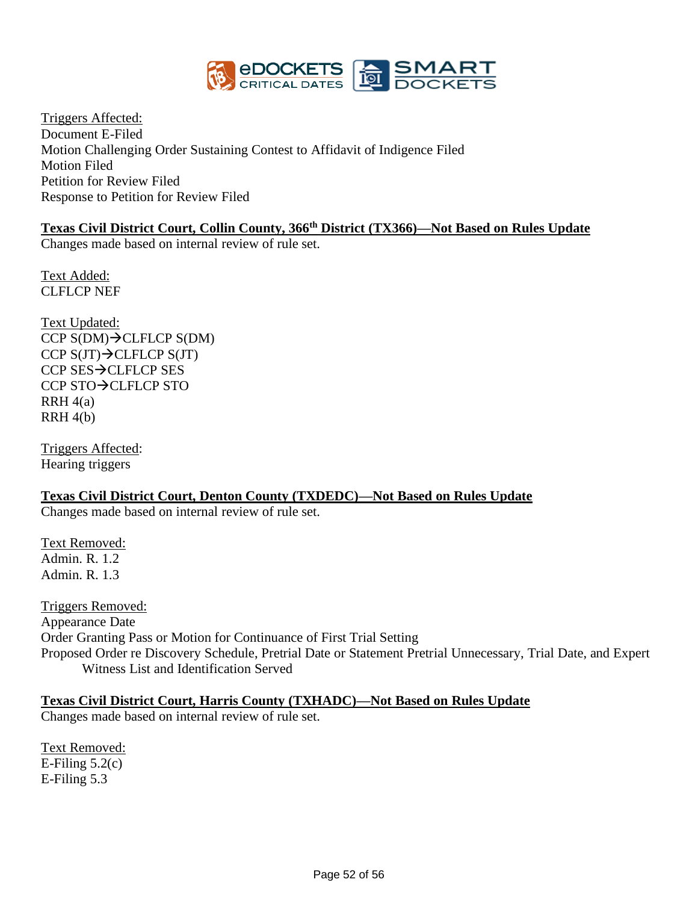

Triggers Affected: Document E-Filed Motion Challenging Order Sustaining Contest to Affidavit of Indigence Filed Motion Filed Petition for Review Filed Response to Petition for Review Filed

# **Texas Civil District Court, Collin County, 366th District (TX366)—Not Based on Rules Update**

Changes made based on internal review of rule set.

Text Added: CLFLCP NEF

Text Updated: CCP S(DM)→CLFLCP S(DM) CCP  $S(JT) \rightarrow$ CLFLCP  $S(JT)$ CCP SES→CLFLCP SES CCP STO→CLFLCP STO  $RRH 4(a)$  $RRH 4(b)$ 

Triggers Affected: Hearing triggers

#### **Texas Civil District Court, Denton County (TXDEDC)—Not Based on Rules Update**

Changes made based on internal review of rule set.

Text Removed: Admin. R. 1.2 Admin. R. 1.3

Triggers Removed: Appearance Date Order Granting Pass or Motion for Continuance of First Trial Setting Proposed Order re Discovery Schedule, Pretrial Date or Statement Pretrial Unnecessary, Trial Date, and Expert Witness List and Identification Served

#### **Texas Civil District Court, Harris County (TXHADC)—Not Based on Rules Update**

Changes made based on internal review of rule set.

Text Removed: E-Filing  $5.2(c)$ E-Filing 5.3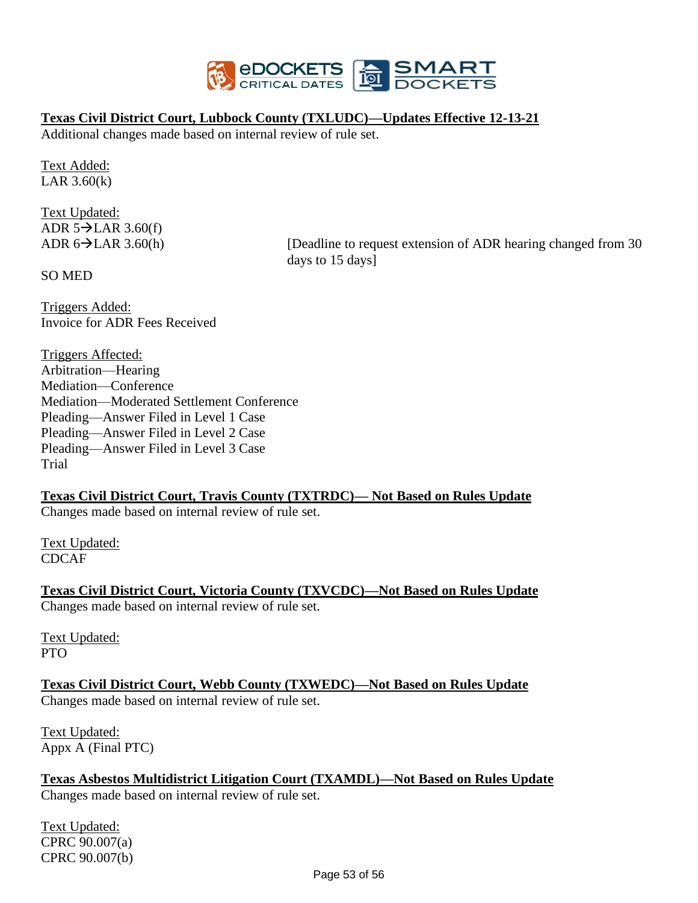

#### **Texas Civil District Court, Lubbock County (TXLUDC)—Updates Effective 12-13-21**

Additional changes made based on internal review of rule set.

Text Added: LAR 3.60(k)

Text Updated: ADR  $5\rightarrow$ LAR 3.60(f)

ADR  $6 \rightarrow$  LAR 3.60(h) [Deadline to request extension of ADR hearing changed from 30 days to 15 days]

SO MED

Triggers Added: Invoice for ADR Fees Received

Triggers Affected: Arbitration—Hearing Mediation—Conference Mediation—Moderated Settlement Conference Pleading—Answer Filed in Level 1 Case Pleading—Answer Filed in Level 2 Case Pleading—Answer Filed in Level 3 Case Trial

#### **Texas Civil District Court, Travis County (TXTRDC)— Not Based on Rules Update**

Changes made based on internal review of rule set.

Text Updated: CDCAF

**Texas Civil District Court, Victoria County (TXVCDC)—Not Based on Rules Update** Changes made based on internal review of rule set.

Text Updated: PTO

**Texas Civil District Court, Webb County (TXWEDC)—Not Based on Rules Update** Changes made based on internal review of rule set.

Text Updated: Appx A (Final PTC)

**Texas Asbestos Multidistrict Litigation Court (TXAMDL)—Not Based on Rules Update** Changes made based on internal review of rule set.

Text Updated: CPRC 90.007(a) CPRC 90.007(b)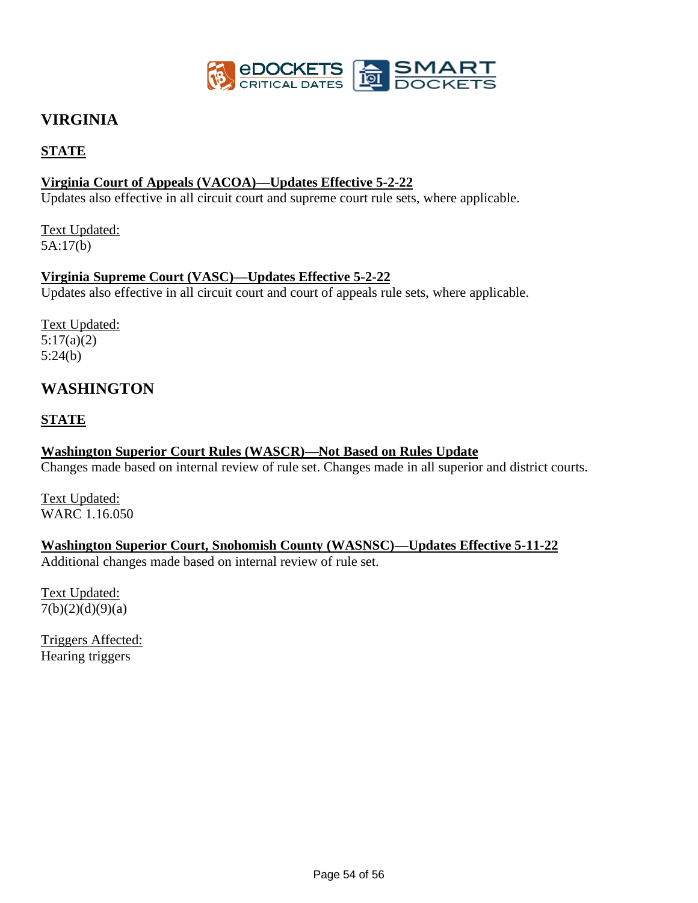

# **VIRGINIA**

### **STATE**

### **Virginia Court of Appeals (VACOA)—Updates Effective 5-2-22**

Updates also effective in all circuit court and supreme court rule sets, where applicable.

Text Updated: 5A:17(b)

#### **Virginia Supreme Court (VASC)—Updates Effective 5-2-22**

Updates also effective in all circuit court and court of appeals rule sets, where applicable.

Text Updated: 5:17(a)(2) 5:24(b)

# **WASHINGTON**

#### **STATE**

#### **Washington Superior Court Rules (WASCR)—Not Based on Rules Update**

Changes made based on internal review of rule set. Changes made in all superior and district courts.

Text Updated: WARC 1.16.050

#### **Washington Superior Court, Snohomish County (WASNSC)—Updates Effective 5-11-22**

Additional changes made based on internal review of rule set.

Text Updated:  $7(b)(2)(d)(9)(a)$ 

Triggers Affected: Hearing triggers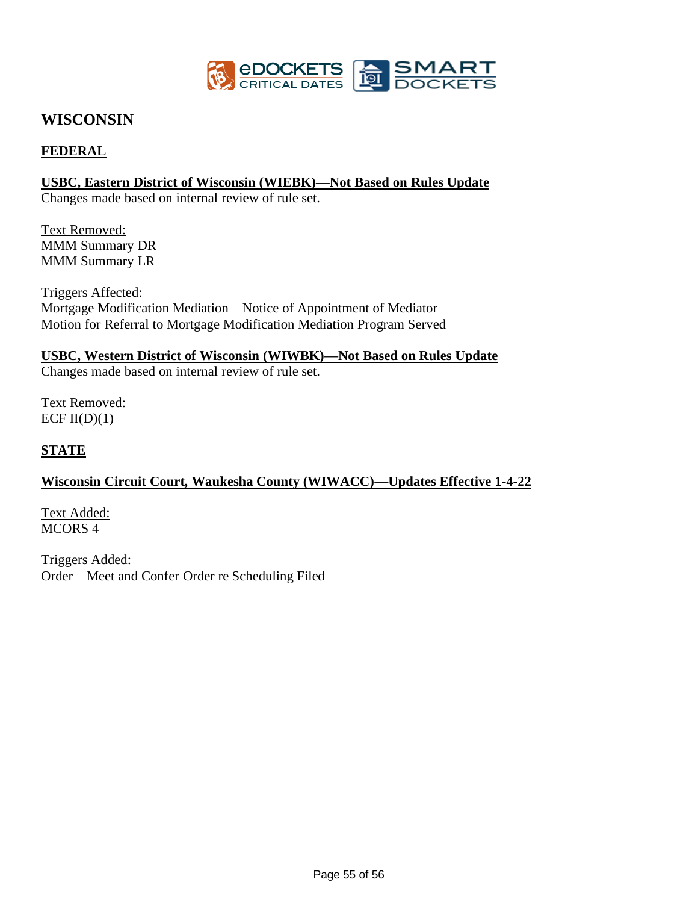

# **WISCONSIN**

### **FEDERAL**

#### **USBC, Eastern District of Wisconsin (WIEBK)—Not Based on Rules Update**

Changes made based on internal review of rule set.

Text Removed: MMM Summary DR MMM Summary LR

Triggers Affected: Mortgage Modification Mediation—Notice of Appointment of Mediator Motion for Referral to Mortgage Modification Mediation Program Served

#### **USBC, Western District of Wisconsin (WIWBK)—Not Based on Rules Update**

Changes made based on internal review of rule set.

Text Removed: ECF  $II(D)(1)$ 

#### **STATE**

#### **Wisconsin Circuit Court, Waukesha County (WIWACC)—Updates Effective 1-4-22**

Text Added: MCORS 4

Triggers Added: Order—Meet and Confer Order re Scheduling Filed